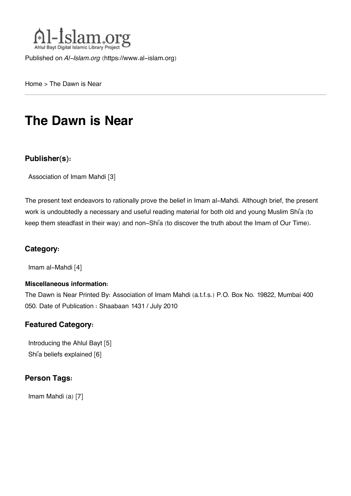

Published on *Al-Islam.org* ([https://www.al-islam.org\)](https://www.al-islam.org)

[Home](https://www.al-islam.org/) > The Dawn is Near

# **The Dawn is Near**

### **Publisher(s):**

[Association of Imam Mahdi](https://www.al-islam.org/organization/association-imam-mahdi) [3]

The present text endeavors to rationally prove the belief in Imam al-Mahdi. Although brief, the present work is undoubtedly a necessary and useful reading material for both old and young Muslim Shi'a (to keep them steadfast in their way) and non-Shi'a (to discover the truth about the Imam of Our Time).

### **Category:**

[Imam al-Mahdi](https://www.al-islam.org/library/imam-al-mahdi) [4]

#### **Miscellaneous information:**

The Dawn is Near Printed By: Association of Imam Mahdi (a.t.f.s.) P.O. Box No. 19822, Mumbai 400 050. Date of Publication : Shaabaan 1431 / July 2010

### **Featured Category:**

[Introducing the Ahlul Bayt](https://www.al-islam.org/feature/introducing-ahlul-bayt) [5] Shi['a beliefs explained](https://www.al-islam.org/feature/shia-beliefs-explained) [6]

### **Person Tags:**

[Imam Mahdi \(a\)](https://www.al-islam.org/person/imam-al-mahdi) [7]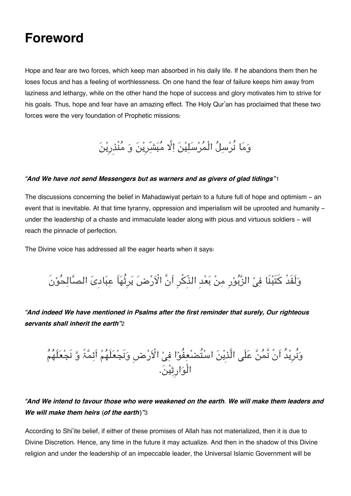## **Foreword**

Hope and fear are two forces, which keep man absorbed in his daily life. If he abandons them then he loses focus and has a feeling of worthlessness. On one hand the fear of failure keeps him away from laziness and lethargy, while on the other hand the hope of success and glory motivates him to strive for his goals. Thus, hope and fear have an amazing effect. The Holy Qur'an has proclaimed that these two forces were the very foundation of Prophetic missions:

وَمَا نُرْسِلُ الْمُرْسَلِیْنَ اِلَّا مُبَشَّرِیْنَ وَ مُنْذِرِیْنَ

#### *"And We have not send Messengers but as warners and as givers of glad tidings"*[1](#page--1-0)

The discussions concerning the belief in Mahadawiyat pertain to a future full of hope and optimism - an event that is inevitable. At that time tyranny, oppression and imperialism will be uprooted and humanity under the leadership of a chaste and immaculate leader along with pious and virtuous soldiers - will reach the pinnacle of perfection.

The Divine voice has addressed all the eager hearts when it says:

وَلَقَدْ کَتَبْنَا فِیْ الزَّبُوْرِ مِنْ بَعْدِ الذِّکْرِ اَنَّ الْاَرْضَ یَرِثُهَاَ عِبَادیَ الصَّالِحُوْنَ

*"And indeed We have mentioned in Psalms after the first reminder that surely, Our righteous servants shall inherit the earth"*[2](#page--1-0)

وَنَرِیدُ اَنْ نَمَنٌ عَلٰی الَّذِینَ اسْتَضْعِفُوْا فِیْ الْأَرْضِ وَنَجْعَلَهُمْ اَئِمَّۃٌ وَّ نَجْعَلَهُمْ الْوارِثین.

### *"And We intend to favour those who were weakened on the earth. We will make them leaders and We will make them heirs (of the earth)"*[3](#page--1-0)

According to Shi'ite belief, if either of these promises of Allah has not materialized, then it is due to Divine Discretion. Hence, any time in the future it may actualize. And then in the shadow of this Divine religion and under the leadership of an impeccable leader, the Universal Islamic Government will be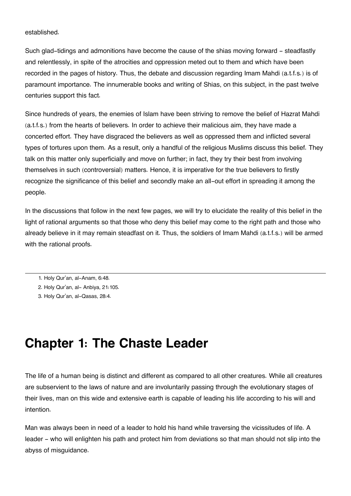#### established.

Such glad-tidings and admonitions have become the cause of the shias moving forward - steadfastly and relentlessly, in spite of the atrocities and oppression meted out to them and which have been recorded in the pages of history. Thus, the debate and discussion regarding Imam Mahdi (a.t.f.s.) is of paramount importance. The innumerable books and writing of Shias, on this subject, in the past twelve centuries support this fact.

Since hundreds of years, the enemies of Islam have been striving to remove the belief of Hazrat Mahdi (a.t.f.s.) from the hearts of believers. In order to achieve their malicious aim, they have made a concerted effort. They have disgraced the believers as well as oppressed them and inflicted several types of tortures upon them. As a result, only a handful of the religious Muslims discuss this belief. They talk on this matter only superficially and move on further; in fact, they try their best from involving themselves in such (controversial) matters. Hence, it is imperative for the true believers to firstly recognize the significance of this belief and secondly make an all-out effort in spreading it among the people.

In the discussions that follow in the next few pages, we will try to elucidate the reality of this belief in the light of rational arguments so that those who deny this belief may come to the right path and those who already believe in it may remain steadfast on it. Thus, the soldiers of Imam Mahdi (a.t.f.s.) will be armed with the rational proofs.

- [1.](#page--1-0) Holy Qur'an, al-Anam, 6:48.
- [2.](#page--1-0) Holy Qur'an, al- Anbiya, 21:105.
- [3.](#page--1-0) Holy Qur'an, al-Qasas, 28:4.

## **Chapter 1: The Chaste Leader**

The life of a human being is distinct and different as compared to all other creatures. While all creatures are subservient to the laws of nature and are involuntarily passing through the evolutionary stages of their lives, man on this wide and extensive earth is capable of leading his life according to his will and intention.

Man was always been in need of a leader to hold his hand while traversing the vicissitudes of life. A leader - who will enlighten his path and protect him from deviations so that man should not slip into the abyss of misguidance.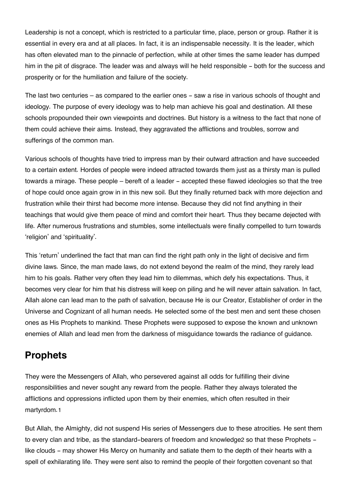Leadership is not a concept, which is restricted to a particular time, place, person or group. Rather it is essential in every era and at all places. In fact, it is an indispensable necessity. It is the leader, which has often elevated man to the pinnacle of perfection, while at other times the same leader has dumped him in the pit of disgrace. The leader was and always will he held responsible - both for the success and prosperity or for the humiliation and failure of the society.

The last two centuries – as compared to the earlier ones - saw a rise in various schools of thought and ideology. The purpose of every ideology was to help man achieve his goal and destination. All these schools propounded their own viewpoints and doctrines. But history is a witness to the fact that none of them could achieve their aims. Instead, they aggravated the afflictions and troubles, sorrow and sufferings of the common man.

Various schools of thoughts have tried to impress man by their outward attraction and have succeeded to a certain extent. Hordes of people were indeed attracted towards them just as a thirsty man is pulled towards a mirage. These people – bereft of a leader – accepted these flawed ideologies so that the tree of hope could once again grow in in this new soil. But they finally returned back with more dejection and frustration while their thirst had become more intense. Because they did not find anything in their teachings that would give them peace of mind and comfort their heart. Thus they became dejected with life. After numerous frustrations and stumbles, some intellectuals were finally compelled to turn towards 'religion' and 'spirituality'.

This 'return' underlined the fact that man can find the right path only in the light of decisive and firm divine laws. Since, the man made laws, do not extend beyond the realm of the mind, they rarely lead him to his goals. Rather very often they lead him to dilemmas, which defy his expectations. Thus, it becomes very clear for him that his distress will keep on piling and he will never attain salvation. In fact, Allah alone can lead man to the path of salvation, because He is our Creator, Establisher of order in the Universe and Cognizant of all human needs. He selected some of the best men and sent these chosen ones as His Prophets to mankind. These Prophets were supposed to expose the known and unknown enemies of Allah and lead men from the darkness of misguidance towards the radiance of guidance.

## **[Prophets](#page--1-0)**

They were the Messengers of Allah, who persevered against all odds for fulfilling their divine responsibilities and never sought any reward from the people. Rather they always tolerated the afflictions and oppressions inflicted upon them by their enemies, which often resulted in their martyrdom.[1](#page--1-0)

But Allah, the Almighty, did not suspend His series of Messengers due to these atrocities. He sent them to every clan and tribe, as the standard-bearers of freedom and knowledge[2](#page--1-0) so that these Prophets like clouds - may shower His Mercy on humanity and satiate them to the depth of their hearts with a spell of exhilarating life. They were sent also to remind the people of their forgotten covenant so that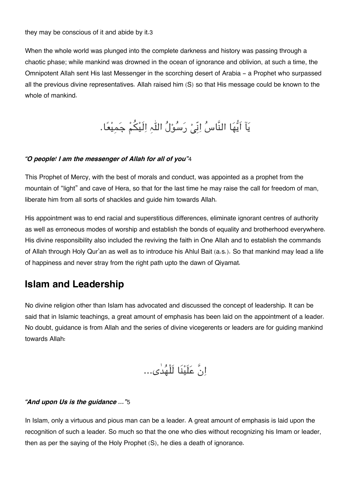When the whole world was plunged into the complete darkness and history was passing through a chaotic phase; while mankind was drowned in the ocean of ignorance and oblivion, at such a time, the Omnipotent Allah sent His last Messenger in the scorching desert of Arabia - a Prophet who surpassed all the previous divine representatives. Allah raised him (S) so that His message could be known to the whole of mankind.

یَاۤ اَیُّهَا النَّاسُ اِنِّیۡ رَسُوْلُ اللّٰہِ اِلَیْکُمْ جَمِیْعًا.

#### *"O people! I am the messenger of Allah for all of you"*[4](#page--1-0)

This Prophet of Mercy, with the best of morals and conduct, was appointed as a prophet from the mountain of "light" and cave of Hera, so that for the last time he may raise the call for freedom of man, liberate him from all sorts of shackles and guide him towards Allah.

His appointment was to end racial and superstitious differences, eliminate ignorant centres of authority as well as erroneous modes of worship and establish the bonds of equality and brotherhood everywhere. His divine responsibility also included the reviving the faith in One Allah and to establish the commands of Allah through Holy Qur'an as well as to introduce his Ahlul Bait (a.s.). So that mankind may lead a life of happiness and never stray from the right path upto the dawn of Qiyamat.

### **[Islam and Leadership](#page--1-0)**

No divine religion other than Islam has advocated and discussed the concept of leadership. It can be said that in Islamic teachings, a great amount of emphasis has been laid on the appointment of a leader. No doubt, guidance is from Allah and the series of divine vicegerents or leaders are for guiding mankind towards Allah:

انَّ علَینَا لَلْھدٰی...

#### *"And upon Us is the guidance …"*[5](#page--1-0)

In Islam, only a virtuous and pious man can be a leader. A great amount of emphasis is laid upon the recognition of such a leader. So much so that the one who dies without recognizing his Imam or leader, then as per the saying of the Holy Prophet (S), he dies a death of ignorance.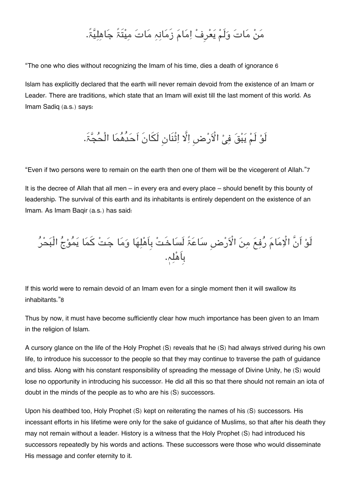## مَنْ مَاتَ وَلَمْ يَعْرِفْ اِمَامَ زَمَانِہِ مَاتَ مِيْتَۃً جَاهِلِيَّۃً.

"The one who dies without recognizing the Imam of his time, dies a death of ignorance [6](#page--1-0)

Islam has explicitly declared that the earth will never remain devoid from the existence of an Imam or Leader. There are traditions, which state that an Imam will exist till the last moment of this world. As Imam Sadiq (a.s.) says:

## لَوْ لَمْ يَبْقَ فِيْ الْأَرْضِ اِلَّا اِتْنَانِ لَكَانَ اَحَدُهُمَا الْحُجَّۃَ.

"Even if two persons were to remain on the earth then one of them will be the vicegerent of Allah."[7](#page--1-0)

It is the decree of Allah that all men – in every era and every place – should benefit by this bounty of leadership. The survival of this earth and its inhabitants is entirely dependent on the existence of an Imam. As Imam Baqir (a.s.) has said:

لَوْ اَنَّ الْإِمَامَ رَفِعَ مِنَ الْأَرْضِ سَاعَۃ لَسَاخَتْ بِاَهْلِهَا وَمَا جَتْ كَمَا يَمُوْجُ الْبَحْرَ بِاَھلہ.

If this world were to remain devoid of an Imam even for a single moment then it will swallow its inhabitants."[8](#page--1-0)

Thus by now, it must have become sufficiently clear how much importance has been given to an Imam in the religion of Islam.

A cursory glance on the life of the Holy Prophet (S) reveals that he (S) had always strived during his own life, to introduce his successor to the people so that they may continue to traverse the path of guidance and bliss. Along with his constant responsibility of spreading the message of Divine Unity, he (S) would lose no opportunity in introducing his successor. He did all this so that there should not remain an iota of doubt in the minds of the people as to who are his (S) successors.

Upon his deathbed too, Holy Prophet (S) kept on reiterating the names of his (S) successors. His incessant efforts in his lifetime were only for the sake of guidance of Muslims, so that after his death they may not remain without a leader. History is a witness that the Holy Prophet (S) had introduced his successors repeatedly by his words and actions. These successors were those who would disseminate His message and confer eternity to it.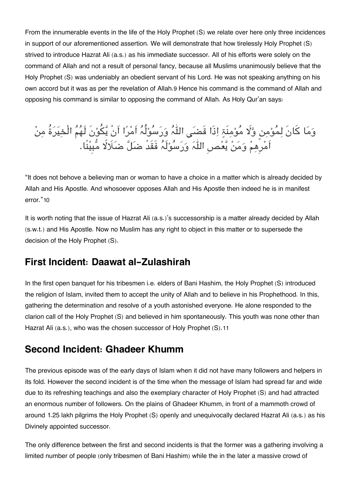From the innumerable events in the life of the Holy Prophet (S) we relate over here only three incidences in support of our aforementioned assertion. We will demonstrate that how tirelessly Holy Prophet (S) strived to introduce Hazrat Ali (a.s.) as his immediate successor. All of his efforts were solely on the command of Allah and not a result of personal fancy, because all Muslims unanimously believe that the Holy Prophet (S) was undeniably an obedient servant of his Lord. He was not speaking anything on his own accord but it was as per the revelation of Allah.[9](#page--1-0) Hence his command is the command of Allah and opposing his command is similar to opposing the command of Allah. As Holy Qur'an says:

وَمَا كَانَ لِمَوْمِنٍ وَّلَا مَوْمِنَةٍ إِذَا قَضَى اللَّہُ وَرَسُوْلُہُ اَمْرَا اَنْ یَكُوْنَ لَهُمُ الْخِیرَةَ مِنْ اَمْرِهِمْ وَمَنْ یَعْصِ اللّٰہَ وَرَسُوْلَہُ فَقَدْ ضَلِّ ضَلَالًا مَّبِیْنًا.

"It does not behove a believing man or woman to have a choice in a matter which is already decided by Allah and His Apostle. And whosoever opposes Allah and His Apostle then indeed he is in manifest error."[10](#page--1-0)

It is worth noting that the issue of Hazrat Ali (a.s.)'s successorship is a matter already decided by Allah (s.w.t.) and His Apostle. Now no Muslim has any right to object in this matter or to supersede the decision of the Holy Prophet (S).

### **[First Incident: Daawat al-Zulashirah](#page--1-0)**

In the first open banquet for his tribesmen i.e. elders of Bani Hashim, the Holy Prophet (S) introduced the religion of Islam, invited them to accept the unity of Allah and to believe in his Prophethood. In this, gathering the determination and resolve of a youth astonished everyone. He alone responded to the clarion call of the Holy Prophet (S) and believed in him spontaneously. This youth was none other than Hazrat Ali (a.s.), who was the chosen successor of Holy Prophet (S).[11](#page--1-0)

## **[Second Incident: Ghadeer Khumm](#page--1-0)**

The previous episode was of the early days of Islam when it did not have many followers and helpers in its fold. However the second incident is of the time when the message of Islam had spread far and wide due to its refreshing teachings and also the exemplary character of Holy Prophet (S) and had attracted an enormous number of followers. On the plains of Ghadeer Khumm, in front of a mammoth crowd of around 1.25 lakh pilgrims the Holy Prophet (S) openly and unequivocally declared Hazrat Ali (a.s.) as his Divinely appointed successor.

The only difference between the first and second incidents is that the former was a gathering involving a limited number of people (only tribesmen of Bani Hashim) while the in the later a massive crowd of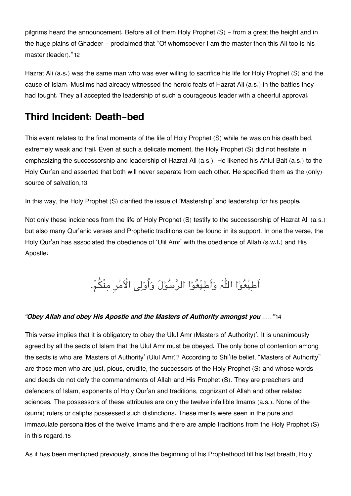pilgrims heard the announcement. Before all of them Holy Prophet (S) - from a great the height and in the huge plains of Ghadeer - proclaimed that "Of whomsoever I am the master then this Ali too is his master (leader)."[12](#page--1-0)

Hazrat Ali (a.s.) was the same man who was ever willing to sacrifice his life for Holy Prophet (S) and the cause of Islam. Muslims had already witnessed the heroic feats of Hazrat Ali (a.s.) in the battles they had fought. They all accepted the leadership of such a courageous leader with a cheerful approval.

## **[Third Incident: Death-bed](#page--1-0)**

This event relates to the final moments of the life of Holy Prophet (S) while he was on his death bed, extremely weak and frail. Even at such a delicate moment, the Holy Prophet (S) did not hesitate in emphasizing the successorship and leadership of Hazrat Ali (a.s.). He likened his Ahlul Bait (a.s.) to the Holy Qur'an and asserted that both will never separate from each other. He specified them as the (only) source of salvation,[13](#page--1-0)

In this way, the Holy Prophet (S) clarified the issue of 'Mastership' and leadership for his people.

Not only these incidences from the life of Holy Prophet (S) testify to the successorship of Hazrat Ali (a.s.) but also many Qur'anic verses and Prophetic traditions can be found in its support. In one the verse, the Holy Qur'an has associated the obedience of 'Ulil Amr' with the obedience of Allah (s.w.t.) and His Apostle:

# اَطِیْعُوْا اللّٰہَ وَاَطِیْعُوْا الرَّسُوْلَ وَأُوْلِی الْاَمْرِ مِنْكُمْ.

### *"Obey Allah and obey His Apostle and the Masters of Authority amongst you ….."*[14](#page--1-0)

This verse implies that it is obligatory to obey the Ulul Amr (Masters of Authority)'. It is unanimously agreed by all the sects of Islam that the Ulul Amr must be obeyed. The only bone of contention among the sects is who are 'Masters of Authority' (Ulul Amr)? According to Shi'ite belief, "Masters of Authority" are those men who are just, pious, erudite, the successors of the Holy Prophet (S) and whose words and deeds do not defy the commandments of Allah and His Prophet (S). They are preachers and defenders of Islam, exponents of Holy Qur'an and traditions, cognizant of Allah and other related sciences. The possessors of these attributes are only the twelve infallible Imams (a.s.). None of the (sunni) rulers or caliphs possessed such distinctions. These merits were seen in the pure and immaculate personalities of the twelve Imams and there are ample traditions from the Holy Prophet (S) in this regard.[15](#page--1-0)

As it has been mentioned previously, since the beginning of his Prophethood till his last breath, Holy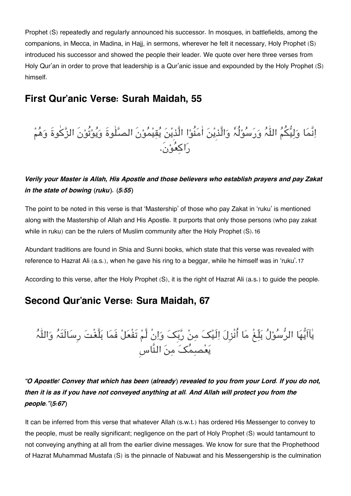Prophet (S) repeatedly and regularly announced his successor. In mosques, in battlefields, among the companions, in Mecca, in Madina, in Hajj, in sermons, wherever he felt it necessary, Holy Prophet (S) introduced his successor and showed the people their leader. We quote over here three verses from Holy Qur'an in order to prove that leadership is a Qur'anic issue and expounded by the Holy Prophet (S) himself.

### **[First Qur'anic Verse: Surah Maidah, 55](#page--1-0)**

# اِنَّمَا وَلِیُّکُمُ اللّٰہُ وَرَسُوْلُہٗ وَالَّذِیْنَ اٰمَنُوْا الَّذِیْنَ یُقِیْمُوْنَ الصَّلٰوۃَ وَیُوْتُوْنَ الزَّکٰوۃَ وَھُمْ راکعون.َ

### *Verily your Master is Allah, His Apostle and those believers who establish prayers and pay Zakat in the state of bowing (ruku). (5:55)*

The point to be noted in this verse is that 'Mastership' of those who pay Zakat in 'ruku' is mentioned along with the Mastership of Allah and His Apostle. It purports that only those persons (who pay zakat while in ruku) can be the rulers of Muslim community after the Holy Prophet (S).[16](#page--1-0)

Abundant traditions are found in Shia and Sunni books, which state that this verse was revealed with reference to Hazrat Ali (a.s.), when he gave his ring to a beggar, while he himself was in 'ruku'.[17](#page--1-0)

According to this verse, after the Holy Prophet (S), it is the right of Hazrat Ali (a.s.) to guide the people.

## **[Second Qur'anic Verse: Sura Maidah, 67](#page--1-0)**

یَاایَّهَا الرَّسُوْلَ بَلِّغْ مَا اُنْزِلَ اِلْیَکَ مِنْ رَبِّکَ وَاِنْ لَّمْ تَفْعَلْ فَمَا بَلَّغْتَ رِسَالَتَہُ وَاللَّہُ یَعْصِمُکَ مِنَ النَّاس

### *"O Apostle! Convey that which has been (already) revealed to you from your Lord. If you do not, then it is as if you have not conveyed anything at all. And Allah will protect you from the people."(5:67)*

It can be inferred from this verse that whatever Allah (s.w.t.) has ordered His Messenger to convey to the people, must be really significant; negligence on the part of Holy Prophet (S) would tantamount to not conveying anything at all from the earlier divine messages. We know for sure that the Prophethood of Hazrat Muhammad Mustafa (S) is the pinnacle of Nabuwat and his Messengership is the culmination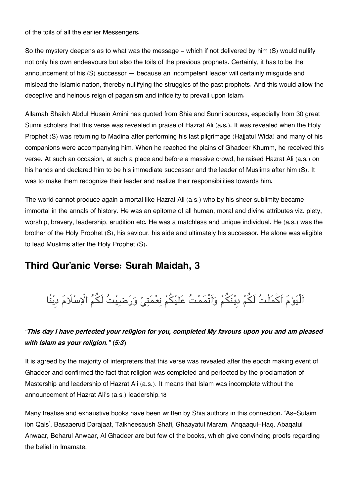of the toils of all the earlier Messengers.

So the mystery deepens as to what was the message – which if not delivered by him (S) would nullify not only his own endeavours but also the toils of the previous prophets. Certainly, it has to be the announcement of his (S) successor — because an incompetent leader will certainly misguide and mislead the Islamic nation, thereby nullifying the struggles of the past prophets. And this would allow the deceptive and heinous reign of paganism and infidelity to prevail upon Islam.

Allamah Shaikh Abdul Husain Amini has quoted from Shia and Sunni sources, especially from 30 great Sunni scholars that this verse was revealed in praise of Hazrat Ali (a.s.). It was revealed when the Holy Prophet (S) was returning to Madina after performing his last pilgrimage (Hajjatul Wida) and many of his companions were accompanying him. When he reached the plains of Ghadeer Khumm, he received this verse. At such an occasion, at such a place and before a massive crowd, he raised Hazrat Ali (a.s.) on his hands and declared him to be his immediate successor and the leader of Muslims after him (S). It was to make them recognize their leader and realize their responsibilities towards him.

The world cannot produce again a mortal like Hazrat Ali (a.s.) who by his sheer sublimity became immortal in the annals of history. He was an epitome of all human, moral and divine attributes viz. piety, worship, bravery, leadership, erudition etc. He was a matchless and unique individual. He (a.s.) was the brother of the Holy Prophet (S), his saviour, his aide and ultimately his successor. He alone was eligible to lead Muslims after the Holy Prophet (S).

## **[Third Qur'anic Verse: Surah Maidah, 3](#page--1-0)**

# اَلْیَوْمَ اَکْمَلْتُ لَکُمْ دِیْنَکُمْ وَاَتْمَمْتُ عَلیْکُمْ نِعْمَتِیْ وَرَضیِیْتُ لَکُمُ الْاِسْلَامَ دیْنًا

### *"This day I have perfected your religion for you, completed My favours upon you and am pleased with Islam as your religion." (5:3)*

It is agreed by the majority of interpreters that this verse was revealed after the epoch making event of Ghadeer and confirmed the fact that religion was completed and perfected by the proclamation of Mastership and leadership of Hazrat Ali (a.s.). It means that Islam was incomplete without the announcement of Hazrat Ali's (a.s.) leadership.[18](#page--1-0)

Many treatise and exhaustive books have been written by Shia authors in this connection. 'As-Sulaim ibn Qais', Basaaerud Darajaat, Talkheesaush Shafi, Ghaayatul Maram, Ahqaaqul-Haq, Abaqatul Anwaar, Beharul Anwaar, Al Ghadeer are but few of the books, which give convincing proofs regarding the belief in Imamate.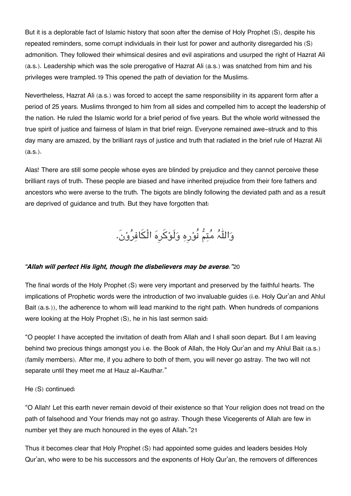But it is a deplorable fact of Islamic history that soon after the demise of Holy Prophet (S), despite his repeated reminders, some corrupt individuals in their lust for power and authority disregarded his (S) admonition. They followed their whimsical desires and evil aspirations and usurped the right of Hazrat Ali (a.s.). Leadership which was the sole prerogative of Hazrat Ali (a.s.) was snatched from him and his privileges were trampled.[19](#page--1-0) This opened the path of deviation for the Muslims.

Nevertheless, Hazrat Ali (a.s.) was forced to accept the same responsibility in its apparent form after a period of 25 years. Muslims thronged to him from all sides and compelled him to accept the leadership of the nation. He ruled the Islamic world for a brief period of five years. But the whole world witnessed the true spirit of justice and fairness of Islam in that brief reign. Everyone remained awe-struck and to this day many are amazed, by the brilliant rays of justice and truth that radiated in the brief rule of Hazrat Ali (a.s.).

Alas! There are still some people whose eyes are blinded by prejudice and they cannot perceive these brilliant rays of truth. These people are biased and have inherited prejudice from their fore fathers and ancestors who were averse to the truth. The bigots are blindly following the deviated path and as a result are deprived of quidance and truth. But they have forgotten that:

والہ متم نُورِہ ولَوکرِہ الْافرون.َ

#### *"Allah will perfect His light, though the disbelievers may be averse."*[20](#page--1-0)

The final words of the Holy Prophet (S) were very important and preserved by the faithful hearts. The implications of Prophetic words were the introduction of two invaluable guides (i.e. Holy Qur'an and Ahlul Bait (a.s.)), the adherence to whom will lead mankind to the right path. When hundreds of companions were looking at the Holy Prophet (S), he in his last sermon said:

"O people! I have accepted the invitation of death from Allah and I shall soon depart. But I am leaving behind two precious things amongst you i.e. the Book of Allah, the Holy Qur'an and my Ahlul Bait (a.s.) (family members). After me, if you adhere to both of them, you will never go astray. The two will not separate until they meet me at Hauz al-Kauthar."

He (S) continued:

"O Allah! Let this earth never remain devoid of their existence so that Your religion does not tread on the path of falsehood and Your friends may not go astray. Though these Vicegerents of Allah are few in number yet they are much honoured in the eyes of Allah."[21](#page--1-0)

Thus it becomes clear that Holy Prophet (S) had appointed some guides and leaders besides Holy Qur'an, who were to be his successors and the exponents of Holy Qur'an, the removers of differences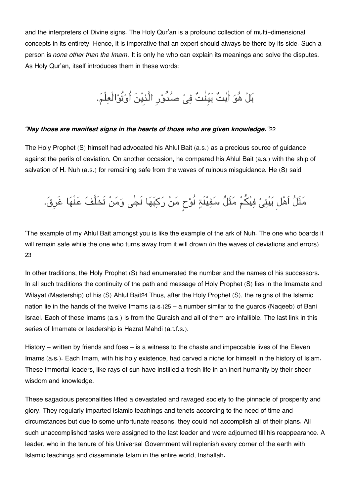and the interpreters of Divine signs. The Holy Qur'an is a profound collection of multi-dimensional concepts in its entirety. Hence, it is imperative that an expert should always be there by its side. Such a person is *none other than the Imam*. It is only he who can explain its meanings and solve the disputes. As Holy Qur'an, itself introduces them in these words:

# بل ھو اٰیت بیِنٰت ف صدُورِ الَّذِین اُوتُوالْعلْم.

#### *"Nay those are manifest signs in the hearts of those who are given knowledge."*[22](#page--1-0)

The Holy Prophet (S) himself had advocated his Ahlul Bait (a.s.) as a precious source of guidance against the perils of deviation. On another occasion, he compared his Ahlul Bait (a.s.) with the ship of salvation of H. Nuh (a.s.) for remaining safe from the waves of ruinous misguidance. He (S) said

# مَثَلُ اَهْل بَيْتِىْ فِيْكُمْ مَثَلُ سَفِيْنَةٍ نُوْحٍ مَنْ رَكِبَهَا نَجٰى وَمَنْ تَخَلَّفَ عَنْهَا غَرِقَ.

'The example of my Ahlul Bait amongst you is like the example of the ark of Nuh. The one who boards it will remain safe while the one who turns away from it will drown (in the waves of deviations and errors) [23](#page--1-0)

In other traditions, the Holy Prophet (S) had enumerated the number and the names of his successors. In all such traditions the continuity of the path and message of Holy Prophet (S) lies in the Imamate and Wilayat (Mastership) of his (S) Ahlul Bait[24](#page--1-0) Thus, after the Holy Prophet (S), the reigns of the Islamic nation lie in the hands of the twelve Imams (a.s.)[25](#page--1-0) – a number similar to the guards (Naqeeb) of Bani Israel. Each of these Imams (a.s.) is from the Quraish and all of them are infallible. The last link in this series of Imamate or leadership is Hazrat Mahdi (a.t.f.s.).

History – written by friends and foes – is a witness to the chaste and impeccable lives of the Eleven Imams (a.s.). Each Imam, with his holy existence, had carved a niche for himself in the history of Islam. These immortal leaders, like rays of sun have instilled a fresh life in an inert humanity by their sheer wisdom and knowledge.

These sagacious personalities lifted a devastated and ravaged society to the pinnacle of prosperity and glory. They regularly imparted Islamic teachings and tenets according to the need of time and circumstances but due to some unfortunate reasons, they could not accomplish all of their plans. All such unaccomplished tasks were assigned to the last leader and were adjourned till his reappearance. A leader, who in the tenure of his Universal Government will replenish every corner of the earth with Islamic teachings and disseminate Islam in the entire world, Inshallah.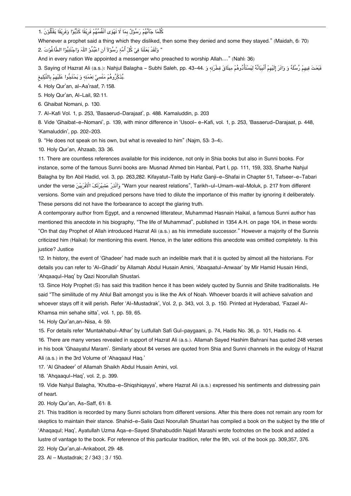کلَّما جآىھم رسول بِما تَھۈی اَنْفُسھم فَرِیقًا کذَّبوا وفَرِیقًا یقْتُلُونَ [1.](#page--1-0)

Whenever a prophet said a thing which they disliked, then some they denied and some they stayed." (Maidah, 6: 70) " وَلَقَدْ بَعَثْنَا فِيْ كُلّ أُمَّۃِ رَّسُوْلاً اَنِ اعْبُدُوْ اللّٰہَ وَاجْتَنِبُوْا الطَّاغُوْتَ .2

And in every nation We appointed a messenger who preached to worship Allah...." (Nahl: 36)

فَبَعَثَ فِيهِمْ رُسُلَهٗ وَ وَاتَرَ إِلَيْهِمْ أَنْبِيَائَهٗ لِيَسْتَأْدُوهُمْ مِيثَاقَ فِطْرَتِهِ وَ 44-43 . Saying of Hazrat Ali (a.s.): Nahjul Balagha – Subhi Saleh, pp. 43-44 .يذَكروهم منْس نعمته و يحتَجوا علَيهِم بِالتَّبليغ

[4.](#page--1-0) Holy Qur'an, al-Aa'raaf, 7:158.

[5.](#page--1-0) Holy Qur'an, Al-Lail, 92:11.

[6.](#page--1-0) Ghaibat Nomani, p. 130.

[7.](#page--1-0) Al-Kafi Vol. 1, p. 253, 'Basaerud-Darajaat', p. 488. Kamaluddin, p. 203

[8.](#page--1-0) Vide 'Ghaibat-e-Nomani', p. 139, with minor difference in 'Usool- e-Kafi, vol. 1, p. 253, 'Basaerud-Darajaat, p. 448, 'Kamaluddin', pp. 202-203.

[9.](#page--1-0) "He does not speak on his own, but what is revealed to him" (Najm, 53: 3-4).

[10.](#page--1-0) Holy Qur'an, Ahzaab, 33: 36.

[11.](#page--1-0) There are countless references available for this incidence, not only in Shia books but also in Sunni books. For instance, some of the famous Sunni books are: Musnad Ahmed bin Hanbal, Part I, pp. 111, 159, 333, Sharhe Nahjul Balagha by Ibn Abil Hadid, vol. 3, pp. 263,282. Kifayatut-Talib by Hafiz Ganji-e-Shafai in Chapter 51, Tafseer-e-Tabari under the verse نَانْدْرِ عَشْيْرَتَکَ الْاَقْرَبِيْنَ Varn your nearest relations", Tarikh–ul–Umam–wal–Moluk, p. 217 from different versions. Some vain and prejudiced persons have tried to dilute the importance of this matter by ignoring it deliberately. These persons did not have the forbearance to accept the glaring truth.

A contemporary author from Egypt, and a renowned litterateur, Muhammad Hasnain Haikal, a famous Sunni author has mentioned this anecdote in his biography, "The life of Muhammad", published in 1354 A.H. on page 104, in these words: "On that day Prophet of Allah introduced Hazrat Ali (a.s.) as his immediate successor." However a majority of the Sunnis criticized him (Haikal) for mentioning this event. Hence, in the later editions this anecdote was omitted completely. Is this justice? Justice

[12.](#page--1-0) In history, the event of 'Ghadeer' had made such an indelible mark that it is quoted by almost all the historians. For details you can refer to 'Al-Ghadir' by Allamah Abdul Husain Amini, 'Abaqaatul-Anwaar' by Mir Hamid Husain Hindi, 'Ahqaaqul-Haq' by Qazi Noorullah Shustari.

[13.](#page--1-0) Since Holy Prophet (S) has said this tradition hence it has been widely quoted by Sunnis and Shiite traditionalists. He said "The similitude of my Ahlul Bait amongst you is like the Ark of Noah. Whoever boards it will achieve salvation and whoever stays off it will perish. Refer 'Al-Mustadrak', Vol. 2, p. 343, vol. 3, p. 150. Printed at Hyderabad, 'Fazael Al-Khamsa min sehahe sitta', vol. 1, pp. 59, 65.

[14.](#page--1-0) Holy Qur'an,an-Nisa, 4: 59.

[15.](#page--1-0) For details refer 'Muntakhabul-Athar' by Lutfullah Safi Gul-paygaani, p. 74, Hadis No. 36, p. 101, Hadis no. 4.

[16.](#page--1-0) There are many verses revealed in support of Hazrat Ali (a.s.). Allamah Sayed Hashim Bahrani has quoted 248 verses in his book 'Ghaayatul Maram'. Similarly about 84 verses are quoted from Shia and Sunni channels in the eulogy of Hazrat Ali (a.s.) in the 3rd Volume of 'Ahaqaaul Haq.'

[17.](#page--1-0) 'Al Ghadeer' of Allamah Shaikh Abdul Husain Amini, vol.

[18.](#page--1-0) 'Ahqaaqul-Haq', vol. 2, p. 399.

[19.](#page--1-0) Vide Nahjul Balagha, 'Khutba-e-Shiqshiqayya', where Hazrat Ali (a.s.) expressed his sentiments and distressing pain of heart.

[20.](#page--1-0) Holy Qur'an, As-Saff, 61: 8.

[21.](#page--1-0) This tradition is recorded by many Sunni scholars from different versions. After this there does not remain any room for skeptics to maintain their stance. Shahid-e-Salis Qazi Noorullah Shustari has compiled a book on the subject by the title of 'Ahaqaqul; Haq', Ayatullah Uzma Aqa-e-Sayed Shahabuddin Najafi Marashi wrote footnotes on the book and added a lustre of vantage to the book. For reference of this particular tradition, refer the 9th, vol. of the book pp. 309,357, 376.

[22.](#page--1-0) Holy Qur'an,al-Ankaboot, 29: 48.

[23.](#page--1-0) Al – Mustadrak; 2 / 343 ; 3 / 150.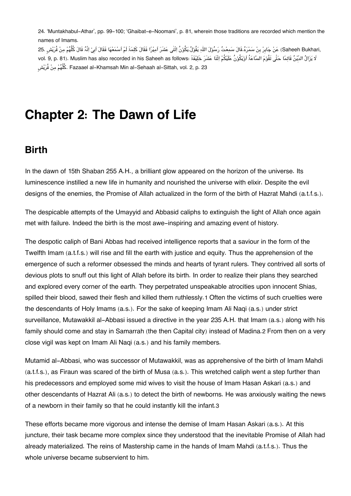[24.](#page--1-0) 'Muntakhabul-Athar', pp. 99-100; 'Ghaibat-e-Noomani', p. 81, wherein those traditions are recorded which mention the names of Imams.

,Saheeh Bukhari) عَنْ جَابِرْ بِنْ سَمْرَهُ.قَالَ سَمِعْتُ رَسُوْلَ اللّٰہِ یَقُوْلُ.یَکُوْنُ اِثْنٰی عَشَرَ اَمِیْرًا فَقَالَ کَلِمَۃً لَمْ اَسْمَعْهَا فَقَالَ اَبِیْ اِنَّہُ قَالَ کُلُّھُمْ مِنْ قُرَیْشٍ .25 لَا یَزَالُ الدَّیْنُ قَائِمًا حَتّٰی تَقُوْمَ السَّاعَۃُ اَوْیَکُوْنُ عَلَیْکُمْ اِثْنَا عَشَرَ خَلِیْفَۃً :vol. 9, p. 81). Muslim has also recorded in his Saheeh as follows ٍشیرُق نم ملُّھک. Fazaael al-Khamsah Min al-Sehaah al-Sittah, vol. 2, p. 23

## **Chapter 2: The Dawn of Life**

### **[Birth](#page--1-0)**

In the dawn of 15th Shaban 255 A.H., a brilliant glow appeared on the horizon of the universe. Its luminescence instilled a new life in humanity and nourished the universe with elixir. Despite the evil designs of the enemies, the Promise of Allah actualized in the form of the birth of Hazrat Mahdi (a.t.f.s.).

The despicable attempts of the Umayyid and Abbasid caliphs to extinguish the light of Allah once again met with failure. Indeed the birth is the most awe-inspiring and amazing event of history.

The despotic caliph of Bani Abbas had received intelligence reports that a saviour in the form of the Twelfth Imam (a.t.f.s.) will rise and fill the earth with justice and equity. Thus the apprehension of the emergence of such a reformer obsessed the minds and hearts of tyrant rulers. They contrived all sorts of devious plots to snuff out this light of Allah before its birth. In order to realize their plans they searched and explored every corner of the earth. They perpetrated unspeakable atrocities upon innocent Shias, spilled their blood, sawed their flesh and killed them ruthlessly.[1](#page--1-0) Often the victims of such cruelties were the descendants of Holy Imams (a.s.). For the sake of keeping Imam Ali Naqi (a.s.) under strict surveillance, Mutawakkil al-Abbasi issued a directive in the year 235 A.H. that Imam (a.s.) along with his family should come and stay in Samarrah (the then Capital city) instead of Madina.[2](#page--1-0) From then on a very close vigil was kept on Imam Ali Naqi (a.s.) and his family members.

Mutamid al-Abbasi, who was successor of Mutawakkil, was as apprehensive of the birth of Imam Mahdi (a.t.f.s.), as Firaun was scared of the birth of Musa (a.s.). This wretched caliph went a step further than his predecessors and employed some mid wives to visit the house of Imam Hasan Askari (a.s.) and other descendants of Hazrat Ali (a.s.) to detect the birth of newborns. He was anxiously waiting the news of a newborn in their family so that he could instantly kill the infant.[3](#page--1-0)

These efforts became more vigorous and intense the demise of Imam Hasan Askari (a.s.). At this juncture, their task became more complex since they understood that the inevitable Promise of Allah had already materialized. The reins of Mastership came in the hands of Imam Mahdi (a.t.f.s.). Thus the whole universe became subservient to him.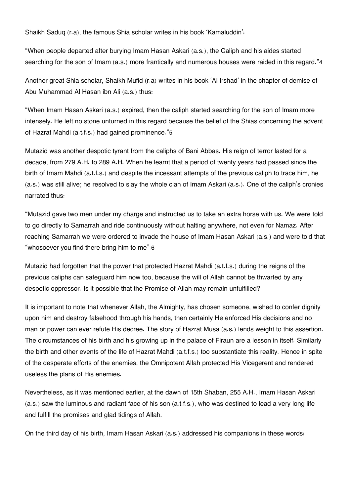Shaikh Saduq (r.a), the famous Shia scholar writes in his book 'Kamaluddin':

"When people departed after burying Imam Hasan Askari (a.s.), the Caliph and his aides started searching for the son of Imam (a.s.) more frantically and numerous houses were raided in this regard."[4](#page--1-0)

Another great Shia scholar, Shaikh Mufid (r.a) writes in his book 'Al Irshad' in the chapter of demise of Abu Muhammad Al Hasan ibn Ali (a.s.) thus:

"When Imam Hasan Askari (a.s.) expired, then the caliph started searching for the son of Imam more intensely. He left no stone unturned in this regard because the belief of the Shias concerning the advent of Hazrat Mahdi (a.t.f.s.) had gained prominence."[5](#page--1-0)

Mutazid was another despotic tyrant from the caliphs of Bani Abbas. His reign of terror lasted for a decade, from 279 A.H. to 289 A.H. When he learnt that a period of twenty years had passed since the birth of Imam Mahdi (a.t.f.s.) and despite the incessant attempts of the previous caliph to trace him, he (a.s.) was still alive; he resolved to slay the whole clan of Imam Askari (a.s.). One of the caliph's cronies narrated thus:

"Mutazid gave two men under my charge and instructed us to take an extra horse with us. We were told to go directly to Samarrah and ride continuously without halting anywhere, not even for Namaz. After reaching Samarrah we were ordered to invade the house of Imam Hasan Askari (a.s.) and were told that "whosoever you find there bring him to me".[6](#page--1-0)

Mutazid had forgotten that the power that protected Hazrat Mahdi (a.t.f.s.) during the reigns of the previous caliphs can safeguard him now too, because the will of Allah cannot be thwarted by any despotic oppressor. Is it possible that the Promise of Allah may remain unfulfilled?

It is important to note that whenever Allah, the Almighty, has chosen someone, wished to confer dignity upon him and destroy falsehood through his hands, then certainly He enforced His decisions and no man or power can ever refute His decree. The story of Hazrat Musa (a.s.) lends weight to this assertion. The circumstances of his birth and his growing up in the palace of Firaun are a lesson in itself. Similarly the birth and other events of the life of Hazrat Mahdi (a.t.f.s.) too substantiate this reality. Hence in spite of the desperate efforts of the enemies, the Omnipotent Allah protected His Vicegerent and rendered useless the plans of His enemies.

Nevertheless, as it was mentioned earlier, at the dawn of 15th Shaban, 255 A.H., Imam Hasan Askari (a.s.) saw the luminous and radiant face of his son (a.t.f.s.), who was destined to lead a very long life and fulfill the promises and glad tidings of Allah.

On the third day of his birth, Imam Hasan Askari (a.s.) addressed his companions in these words: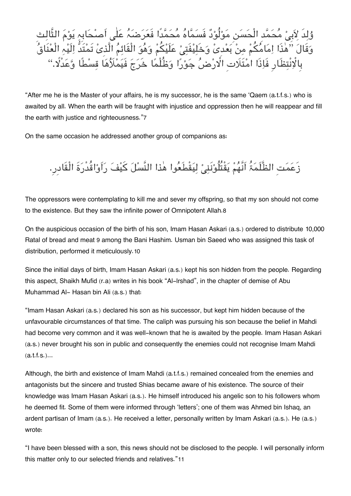وُلِد لِأَبِيْ مَحَمَّد الْحَسَنِ مَوْلُوْدَ فَسُمَّاهُ مَحَمَّدا فَعَرَضَہُ عَلٰی اصطَابِہِ یَوْمَ الثَّالِثِ وَقَالَ ''هذَا اِمَامَکُمْ مِنْ بَعْدی وَخَلِیْفَتِیْ عَلَیْکُمْ وَهُوَ الْقَائِمَ الَّذِی تَمَتَدُّ اِلَیْہِ الْعَنَاقَ بِالْإِنتِظَارِ فَاِذَا امْتَلَات الأَرْضُ جَوْرًا وَظُلْمًا خَرَجَ فَیَمَلَاَهَا قِسْطًا وَعَدَلا.''

"After me he is the Master of your affairs, he is my successor, he is the same 'Qaem (a.t.f.s.) who is awaited by all. When the earth will be fraught with injustice and oppression then he will reappear and fill the earth with justice and righteousness."[7](#page--1-0)

On the same occasion he addressed another group of companions as:

زَعَمَت الظَّلَمَۃُ اَنَّهُمْ یَقْتُلُوْنَنِیْ لِیَقْطَعُوا هٰذا النَّسْلَ کَیْفَ رَاَوْاقُدْرَۃَ الْقَادرِ.

The oppressors were contemplating to kill me and sever my offspring, so that my son should not come to the existence. But they saw the infinite power of Omnipotent Allah.[8](#page--1-0)

On the auspicious occasion of the birth of his son, Imam Hasan Askari (a.s.) ordered to distribute 10,000 Ratal of bread and meat [9](#page--1-0) among the Bani Hashim. Usman bin Saeed who was assigned this task of distribution, performed it meticulously.[10](#page--1-0)

Since the initial days of birth, Imam Hasan Askari (a.s.) kept his son hidden from the people. Regarding this aspect, Shaikh Mufid (r.a) writes in his book "Al-lrshad", in the chapter of demise of Abu Muhammad Al- Hasan bin Ali (a.s.) that:

"Imam Hasan Askari (a.s.) declared his son as his successor, but kept him hidden because of the unfavourable circumstances of that time. The caliph was pursuing his son because the belief in Mahdi had become very common and it was well-known that he is awaited by the people. Imam Hasan Askari (a.s.) never brought his son in public and consequently the enemies could not recognise Imam Mahdi  $(a.t.f.s.).$ 

Although, the birth and existence of Imam Mahdi (a.t.f.s.) remained concealed from the enemies and antagonists but the sincere and trusted Shias became aware of his existence. The source of their knowledge was Imam Hasan Askari (a.s.). He himself introduced his angelic son to his followers whom he deemed fit. Some of them were informed through 'letters'; one of them was Ahmed bin Ishaq, an ardent partisan of Imam (a.s.). He received a letter, personally written by Imam Askari (a.s.). He (a.s.) wrote:

"I have been blessed with a son, this news should not be disclosed to the people. I will personally inform this matter only to our selected friends and relatives."[11](#page--1-0)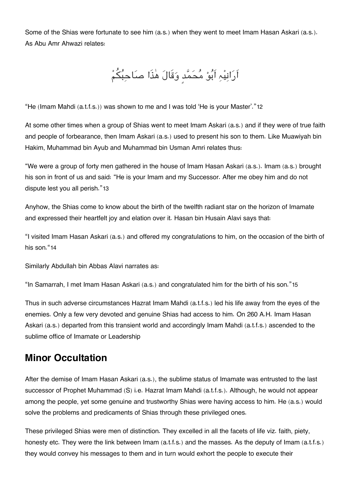Some of the Shias were fortunate to see him (a.s.) when they went to meet Imam Hasan Askari (a.s.). As Abu Amr Ahwazi relates:

اَرَانِیْہِ اَبُوْ مُحَمَّدٍ وَقَالَ هٰذَا صَاحِبُکُمْ

"He (Imam Mahdi (a.t.f.s.)) was shown to me and I was told 'He is your Master'."[12](#page--1-0)

At some other times when a group of Shias went to meet Imam Askari (a.s.) and if they were of true faith and people of forbearance, then Imam Askari (a.s.) used to present his son to them. Like Muawiyah bin Hakim, Muhammad bin Ayub and Muhammad bin Usman Amri relates thus:

"We were a group of forty men gathered in the house of Imam Hasan Askari (a.s.). Imam (a.s.) brought his son in front of us and said: "He is your Imam and my Successor. After me obey him and do not dispute lest you all perish."[13](#page--1-0)

Anyhow, the Shias come to know about the birth of the twelfth radiant star on the horizon of Imamate and expressed their heartfelt joy and elation over it. Hasan bin Husain Alavi says that:

"I visited Imam Hasan Askari (a.s.) and offered my congratulations to him, on the occasion of the birth of his son."[14](#page--1-0)

Similarly Abdullah bin Abbas Alavi narrates as:

"In Samarrah, I met Imam Hasan Askari (a.s.) and congratulated him for the birth of his son."[15](#page--1-0)

Thus in such adverse circumstances Hazrat Imam Mahdi (a.t.f.s.) led his life away from the eyes of the enemies. Only a few very devoted and genuine Shias had access to him. On 260 A.H. Imam Hasan Askari (a.s.) departed from this transient world and accordingly Imam Mahdi (a.t.f.s.) ascended to the sublime office of Imamate or Leadership

## **[Minor Occultation](#page--1-0)**

After the demise of Imam Hasan Askari (a.s.), the sublime status of Imamate was entrusted to the last successor of Prophet Muhammad (S) i.e. Hazrat Imam Mahdi (a.t.f.s.). Although, he would not appear among the people, yet some genuine and trustworthy Shias were having access to him. He (a.s.) would solve the problems and predicaments of Shias through these privileged ones.

These privileged Shias were men of distinction. They excelled in all the facets of life viz. faith, piety, honesty etc. They were the link between Imam (a.t.f.s.) and the masses. As the deputy of Imam (a.t.f.s.) they would convey his messages to them and in turn would exhort the people to execute their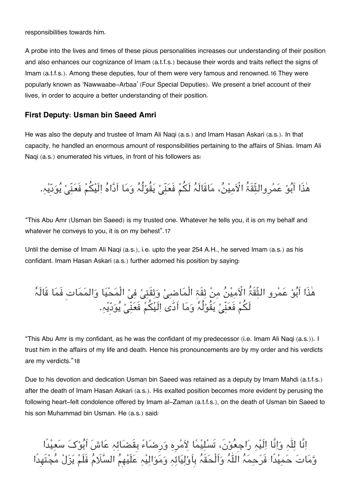responsibilities towards him.

A probe into the lives and times of these pious personalities increases our understanding of their position and also enhances our cognizance of Imam (a.t.f.s.) because their words and traits reflect the signs of Imam (a.t.f.s.). Among these deputies, four of them were very famous and renowned.[16](#page--1-0) They were popularly known as 'Nawwaabe-Arbaa' (Four Special Deputies). We present a brief account of their lives, in order to acquire a better understanding of their position.

### **[First Deputy: Usman bin Saeed Amri](#page--1-0)**

He was also the deputy and trustee of Imam Ali Naqi (a.s.) and Imam Hasan Askari (a.s.). In that capacity, he handled an enormous amount of responsibilities pertaining to the affairs of Shias. Imam Ali Naqi (a.s.) enumerated his virtues, in front of his followers as:

هٰذَا اَبُوْ عَمْروالثِّقَۃُ الْاَمِیْنُ، مَاقَالَہُ لَکُمْ فَعَنِّیْ یَقُوْلُہُ وَمَا اَدَّاہُ اِلَیْکُمْ فَعَنِّیْ یُوَدِّیْہِ.

"This Abu Amr (Usman bin Saeed) is my trusted one. Whatever he tells you, it is on my behalf and whatever he convevs to you, it is on my behest". [17](#page--1-0)

Until the demise of Imam Ali Naqi (a.s.), i.e. upto the year 254 A.H., he served Imam (a.s.) as his confidant. Imam Hasan Askari (a.s.) further adorned his position by saying:

هٰذَا أَبُوْ عَمْرِو الثِّقَةُ الْأَمِيْنُ مِنْ ثِقَةِ الْمَاضِيْ وَثِقَتِيْ فِيْ الْمَحْيَا وَالمَمَاتِ فَمَا قَالَہٗ لَكُمْ فَعَنّىْ یَقُوْلُہٗ وَمَا اَدّٰی اِلَیْكُمْ فَعَنّىْ یُوَدّیْہ.

"This Abu Amr is my confidant, as he was the confidant of my predecessor (i.e. Imam Ali Naqi (a.s.)). I trust him in the affairs of my life and death. Hence his pronouncements are by my order and his verdicts are my verdicts."[18](#page--1-0)

Due to his devotion and dedication Usman bin Saeed was retained as a deputy by Imam Mahdi (a.t.f.s.) after the death of Imam Hasan Askari (a.s.). His exalted position becomes more evident by perusing the following heart-felt condolence offered by Imam al-Zaman (a.t.f.s.), on the death of Usman bin Saeed to his son Muhammad bin Usman. He (a.s.) said:

انَّا لہ وانَّا الَیہ راجِعون،َ تَسلیما مرِہ ورِضاء بِقَضائہ عاش اَبوک سعیدًا ومات حمیدًا فَرحمہ الہ واَلْحقَہ بِاَولیائہ وموالیہ علَیھِم السَم فَلَم یزل مجتَھِدًا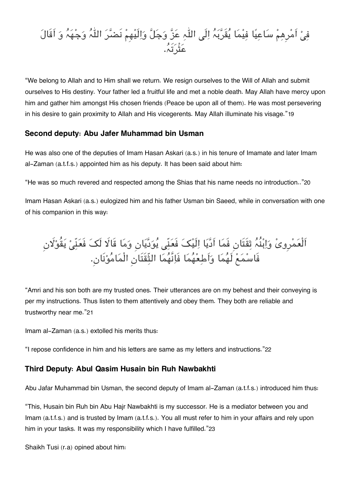# فِیْ امرِهِمْ سَاعِیَا فِیْمَا یَقَرَبَہُ اِلٰی اللّٰہِ عَزّ وَجَلّ وَاِلَیْهِمْ نَضَرَ اللّٰہَ وَجْهَہُ وَ اقالَ عثْرتَہ.

"We belong to Allah and to Him shall we return. We resign ourselves to the Will of Allah and submit ourselves to His destiny. Your father led a fruitful life and met a noble death. May Allah have mercy upon him and gather him amongst His chosen friends (Peace be upon all of them). He was most persevering in his desire to gain proximity to Allah and His vicegerents. May Allah illuminate his visage."[19](#page--1-0)

### **[Second deputy: Abu Jafer Muhammad bin Usman](#page--1-0)**

He was also one of the deputies of Imam Hasan Askari (a.s.) in his tenure of Imamate and later Imam al-Zaman (a.t.f.s.) appointed him as his deputy. It has been said about him:

"He was so much revered and respected among the Shias that his name needs no introduction.."[20](#page--1-0)

Imam Hasan Askari (a.s.) eulogized him and his father Usman bin Saeed, while in conversation with one of his companion in this way:

اَلْعَمْرِویْ وَاِبْنَہُ ثِقْتَانِ فَمَا اَدّیَا اِلَیْکَ فَعَنّی یَوَدّیَانِ وَمَا قَالًا لَکَ فَعَنّیْ یَقُوْلَان فَاسمع لَھما واَطعھما فَانَّھما الثّقَتَانِ الْمامونَان.ِ

"Amri and his son both are my trusted ones. Their utterances are on my behest and their conveying is per my instructions. Thus listen to them attentively and obey them. They both are reliable and trustworthy near me."[21](#page--1-0)

Imam al-Zaman (a.s.) extolled his merits thus:

"I repose confidence in him and his letters are same as my letters and instructions."[22](#page--1-0)

### **[Third Deputy: Abul Qasim Husain bin Ruh Nawbakhti](#page--1-0)**

Abu Jafar Muhammad bin Usman, the second deputy of Imam al-Zaman (a.t.f.s.) introduced him thus:

"This, Husain bin Ruh bin Abu Hajr Nawbakhti is my successor. He is a mediator between you and Imam (a.t.f.s.) and is trusted by Imam (a.t.f.s.). You all must refer to him in your affairs and rely upon him in your tasks. It was my responsibility which I have fulfilled."[23](#page--1-0)

Shaikh Tusi (r.a) opined about him: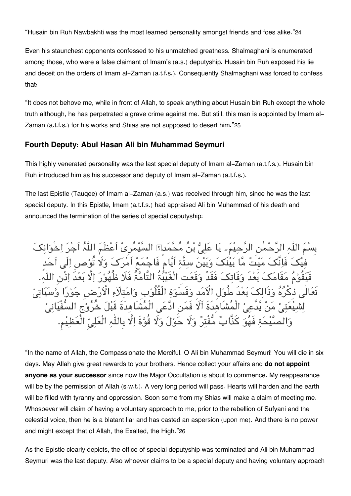"Husain bin Ruh Nawbakhti was the most learned personality amongst friends and foes alike."[24](#page--1-0)

Even his staunchest opponents confessed to his unmatched greatness. Shalmaghani is enumerated among those, who were a false claimant of Imam's (a.s.) deputyship. Husain bin Ruh exposed his lie and deceit on the orders of Imam al-Zaman (a.t.f.s.). Consequently Shalmaghani was forced to confess that:

"It does not behove me, while in front of Allah, to speak anything about Husain bin Ruh except the whole truth although, he has perpetrated a grave crime against me. But still, this man is appointed by Imam al-Zaman (a.t.f.s.) for his works and Shias are not supposed to desert him."[25](#page--1-0)

#### **[Fourth Deputy: Abul Hasan Ali bin Muhammad Seymuri](#page--1-0)**

This highly venerated personality was the last special deputy of Imam al-Zaman (a.t.f.s.). Husain bin Ruh introduced him as his successor and deputy of Imam al-Zaman (a.t.f.s.).

The last Epistle (Tauqee) of Imam al-Zaman (a.s.) was received through him, since he was the last special deputy. In this Epistle, Imam (a.t.f.s.) had appraised Ali bin Muhammad of his death and announced the termination of the series of special deputyship:

بِسَم۔ یَا عَلِیُّ بْنُ مُحَّمَدِ؟ السَّیْمُرِیْ اَعْظَمَ اللّٰہُ اَجْرَ اِخْوَانِکَ ءَ مَیّنَٰ مَّا بَیْنَکَ وَبَیْنَ سِتَّۃِ اَیَّام فَاجْمَعْ اَمْرَکَ وَلَا تُوْصِ اِلَی اَحَدٍ .<br>قَامَکَ بَعْدَ وَفَاتکَ فَقَدْ وَقَعَت<sup>َ</sup> الْغَیْبُّہُ التَّامَّۃُ فَلَا ظُهُوْرَ اِلَّا بَعْدَ اِذْنِ اللّٰہِ. وَذَالكَ بَعْدَ طُولِ الْاَمَدِ وَقَسْوَةِ الْقُلُوْبِ وَامْتلَآءِ الْاَرْضِ جَوْرً ُ الْمُشَاهَدَةَ أَلَا فَمَنِ ادَّعَى الْمُشَاهدَةَ قَبْلَ خُرُوْج السُّفْیَانیْ ذَّابٌ مُّفْتِرٌ وَلَا حَوْلَ وَلَا قُوَّةَ اِلَّا بِاللَّٰہِ الْعَلِيِّ الْعَظِيْمِ.

"In the name of Allah, the Compassionate the Merciful. O Ali bin Muhammad Seymuri! You will die in six days. May Allah give great rewards to your brothers. Hence collect your affairs and **do not appoint anyone as your successor** since now the Major Occultation is about to commence. My reappearance will be by the permission of Allah (s.w.t.). A very long period will pass. Hearts will harden and the earth will be filled with tyranny and oppression. Soon some from my Shias will make a claim of meeting me. Whosoever will claim of having a voluntary approach to me, prior to the rebellion of Sufyani and the celestial voice, then he is a blatant liar and has casted an aspersion (upon me). And there is no power and might except that of Allah, the Exalted, the High."[26](#page--1-0)

As the Epistle clearly depicts, the office of special deputyship was terminated and Ali bin Muhammad Seymuri was the last deputy. Also whoever claims to be a special deputy and having voluntary approach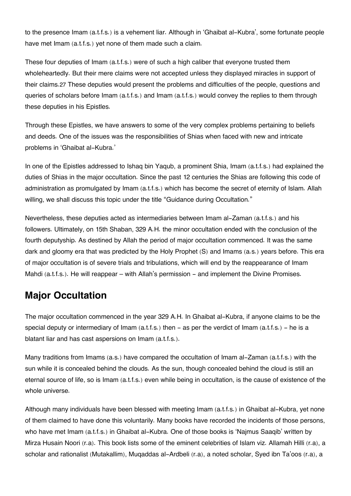to the presence Imam (a.t.f.s.) is a vehement liar. Although in 'Ghaibat al-Kubra', some fortunate people have met Imam (a.t.f.s.) yet none of them made such a claim.

These four deputies of Imam (a.t.f.s.) were of such a high caliber that everyone trusted them wholeheartedly. But their mere claims were not accepted unless they displayed miracles in support of their claims.[27](#page--1-0) These deputies would present the problems and difficulties of the people, questions and queries of scholars before Imam (a.t.f.s.) and Imam (a.t.f.s.) would convey the replies to them through these deputies in his Epistles.

Through these Epistles, we have answers to some of the very complex problems pertaining to beliefs and deeds. One of the issues was the responsibilities of Shias when faced with new and intricate problems in 'Ghaibat al-Kubra.'

In one of the Epistles addressed to Ishaq bin Yaqub, a prominent Shia, Imam (a.t.f.s.) had explained the duties of Shias in the major occultation. Since the past 12 centuries the Shias are following this code of administration as promulgated by Imam (a.t.f.s.) which has become the secret of eternity of Islam. Allah willing, we shall discuss this topic under the title "Guidance during Occultation."

Nevertheless, these deputies acted as intermediaries between Imam al-Zaman (a.t.f.s.) and his followers. Ultimately, on 15th Shaban, 329 A.H. the minor occultation ended with the conclusion of the fourth deputyship. As destined by Allah the period of major occultation commenced. It was the same dark and gloomy era that was predicted by the Holy Prophet (S) and Imams (a.s.) years before. This era of major occultation is of severe trials and tribulations, which will end by the reappearance of Imam Mahdi (a.t.f.s.). He will reappear – with Allah's permission – and implement the Divine Promises.

## **[Major Occultation](#page--1-0)**

The major occultation commenced in the year 329 A.H. In Ghaibat al-Kubra, if anyone claims to be the special deputy or intermediary of Imam  $(a.t.f.s.)$  then  $-$  as per the verdict of Imam  $(a.t.f.s.)$  – he is a blatant liar and has cast aspersions on Imam (a.t.f.s.).

Many traditions from Imams (a.s.) have compared the occultation of Imam al-Zaman (a.t.f.s.) with the sun while it is concealed behind the clouds. As the sun, though concealed behind the cloud is still an eternal source of life, so is Imam (a.t.f.s.) even while being in occultation, is the cause of existence of the whole universe.

Although many individuals have been blessed with meeting Imam (a.t.f.s.) in Ghaibat al-Kubra, yet none of them claimed to have done this voluntarily. Many books have recorded the incidents of those persons, who have met Imam (a.t.f.s.) in Ghaibat al-Kubra. One of those books is 'Najmus Saaqib' written by Mirza Husain Noori (r.a). This book lists some of the eminent celebrities of Islam viz. Allamah Hilli (r.a), a scholar and rationalist (Mutakallim), Muqaddas al-Ardbeli (r.a), a noted scholar, Syed ibn Ta'oos (r.a), a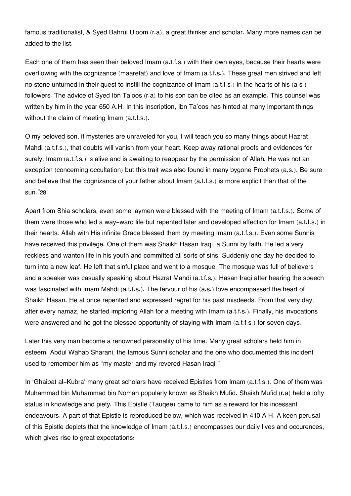famous traditionalist, & Syed Bahrul Uloom (r.a), a great thinker and scholar. Many more names can be added to the list.

Each one of them has seen their beloved Imam (a.t.f.s.) with their own eyes, because their hearts were overflowing with the cognizance (maarefat) and love of Imam (a.t.f.s.). These great men strived and left no stone unturned in their quest to instill the cognizance of Imam (a.t.f.s.) in the hearts of his (a.s.) followers. The advice of Syed Ibn Ta'oos (r.a) to his son can be cited as an example. This counsel was written by him in the year 650 A.H. In this inscription, Ibn Ta'oos has hinted at many important things without the claim of meeting Imam (a.t.f.s.).

O my beloved son, if mysteries are unraveled for you, I will teach you so many things about Hazrat Mahdi (a.t.f.s.), that doubts will vanish from your heart. Keep away rational proofs and evidences for surely, Imam (a.t.f.s.) is alive and is awaiting to reappear by the permission of Allah. He was not an exception (concerning occultation) but this trait was also found in many bygone Prophets (a.s.). Be sure and believe that the cognizance of your father about Imam (a.t.f.s.) is more explicit than that of the sun."[28](#page--1-0)

Apart from Shia scholars, even some laymen were blessed with the meeting of Imam (a.t.f.s.). Some of them were those who led a way-ward life but repented later and developed affection for Imam (a.t.f.s.) in their hearts. Allah with His infinite Grace blessed them by meeting Imam (a.t.f.s.). Even some Sunnis have received this privilege. One of them was Shaikh Hasan Iraqi, a Sunni by faith. He led a very reckless and wanton life in his youth and committed all sorts of sins. Suddenly one day he decided to turn into a new leaf. He left that sinful place and went to a mosque. The mosque was full of believers and a speaker was casually speaking about Hazrat Mahdi (a.t.f.s.). Hasan Iraqi after hearing the speech was fascinated with Imam Mahdi (a.t.f.s.). The fervour of his (a.s.) love encompassed the heart of Shaikh Hasan. He at once repented and expressed regret for his past misdeeds. From that very day, after every namaz, he started imploring Allah for a meeting with Imam (a.t.f.s.). Finally, his invocations were answered and he got the blessed opportunity of staying with Imam (a.t.f.s.) for seven days.

Later this very man become a renowned personality of his time. Many great scholars held him in esteem. Abdul Wahab Sharani, the famous Sunni scholar and the one who documented this incident used to remember him as "my master and my revered Hasan Iraqi."

In 'Ghaibat al-Kubra' many great scholars have received Epistles from Imam (a.t.f.s.). One of them was Muhammad bin Muhammad bin Noman popularly known as Shaikh Mufid. Shaikh Mufid (r.a) held a lofty status in knowledge and piety. This Epistle (Tauqee) came to him as a reward for his incessant endeavours. A part of that Epistle is reproduced below, which was received in 410 A.H. A keen perusal of this Epistle depicts that the knowledge of Imam (a.t.f.s.) encompasses our daily lives and occurences, which gives rise to great expectations: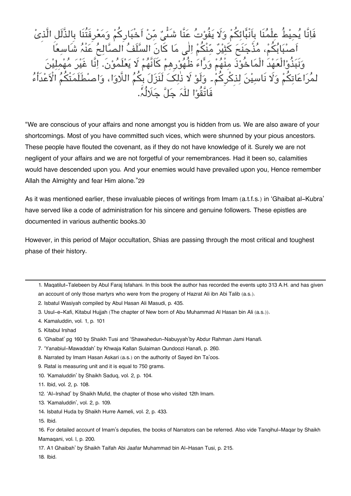لْ عِلْمُنَا بِاَنْبَائِكُمْ وَلَا يَفُوْتُ عَنَّا شَنَّىٌ مِّنْ اَخْبَارِكُمْ وَمَعْرِفَتُنَا بِالذَّلَلِ الَّذِیْ اَصْبَابُکُمْ، مُذْجَنَحَ کُثِیْرٌ مِّنْکُمْ اِلٰی مَا کَانَ السَّلَفُ اَلصُّالِحُ عَنْہُ شَ وَبَبَذُوالْعَهْدَ الْمَاخُوْذَ مِنْهُمْ وَرًاءَ ظُهُوْرِهِمْ كَاَنَّهُمْ لَا يَعْلَمُوْنَ. إِنَّا غَيْرَ مُهْ لمُرَاعَاتِكُمْ وَلَا نَاسِيْنَ لِذِكْرِكُمْ۔ وَلَوْ لَا ذٰلِکَ لَنَزَلَ بِكُمُ اللَّاوَا، وَاصْطَلَمَتْكُمُ الْاَعْدَأَءُ فَاتَّقُوا لہ جل جَلُہ.

"We are conscious of your affairs and none amongst you is hidden from us. We are also aware of your shortcomings. Most of you have committed such vices, which were shunned by your pious ancestors. These people have flouted the covenant, as if they do not have knowledge of it. Surely we are not negligent of your affairs and we are not forgetful of your remembrances. Had it been so, calamities would have descended upon you. And your enemies would have prevailed upon you, Hence remember Allah the Almighty and fear Him alone."[29](#page--1-0)

As it was mentioned earlier, these invaluable pieces of writings from Imam (a.t.f.s.) in 'Ghaibat al-Kubra' have served like a code of administration for his sincere and genuine followers. These epistles are documented in various authentic books.[30](#page--1-0)

However, in this period of Major occultation, Shias are passing through the most critical and toughest phase of their history.

- [2.](#page--1-0) Isbatul Wasiyah compiled by Abul Hasan Ali Masudi, p. 435.
- [3.](#page--1-0) Usul-e-Kafi, Kitabul Hujjah (The chapter of New born of Abu Muhammad Al Hasan bin Ali (a.s.)).
- [4.](#page--1-0) Kamaluddin, vol. 1, p. 101
- [5.](#page--1-0) Kitabul Irshad
- [6.](#page--1-0) 'Ghaibat' pg 160 by Shaikh Tusi and 'Shawahedun-Nabuyyah'by Abdur Rahman Jami Hanafi.
- [7.](#page--1-0) 'Yanabiul-Mawaddah' by Khwaja Kallan Sulaiman Qundoozi Hanafi, p. 260.
- [8.](#page--1-0) Narrated by Imam Hasan Askari (a.s.) on the authority of Sayed ibn Ta'oos.
- [9.](#page--1-0) Ratal is measuring unit and it is equal to 750 grams.
- [10.](#page--1-0) 'Kamaluddin' by Shaikh Saduq, vol. 2, p. 104.
- [11.](#page--1-0) Ibid, vol. 2, p. 108.
- [12.](#page--1-0) 'Al-Irshad' by Shaikh Mufid, the chapter of those who visited 12th Imam.
- [13.](#page--1-0) 'Kamaluddin', vol. 2, p. 109.
- [14.](#page--1-0) Isbatul Huda by Shaikh Hurre Aameli, vol. 2, p. 433.
- [15.](#page--1-0) Ibid.

[16.](#page--1-0) For detailed account of Imam's deputies, the books of Narrators can be referred. Also vide Tanqihul-Maqar by Shaikh Mamaqani, vol. l, p. 200.

[17.](#page--1-0) A1 Ghaibah' by Shaikh Taifah Abi Jaafar Muhammad bin Al-Hasan Tusi, p. 215.

[18.](#page--1-0) Ibid.

[<sup>1.</sup>](#page--1-0) Maqatilut-Talebeen by Abul Faraj Isfahani. In this book the author has recorded the events upto 313 A.H. and has given an account of only those martyrs who were from the progeny of Hazrat Ali ibn Abi Talib (a.s.).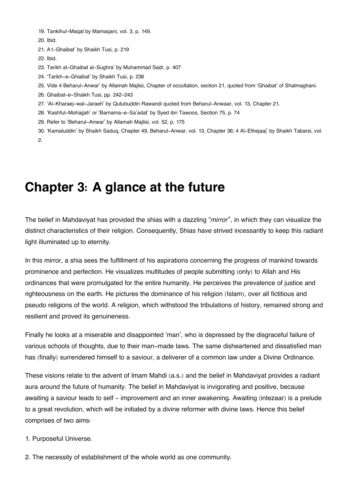[19.](#page--1-0) Tankihul-Maqal by Mamaqani, vol. 3, p. 149.

[20.](#page--1-0) Ibid.

- [21.](#page--1-0) A1-Ghaibat' by Shaikh Tusi, p. 219
- [22.](#page--1-0) Ibid.
- [23.](#page--1-0) Tarikh al-Ghaibat al-Sughra' by Muhammad Sadr, p. 407
- [24.](#page--1-0) 'Tarikh-e-Ghaibat' by Shaikh Tusi, p. 236
- [25.](#page--1-0) Vide 4 Beharul-Anwar' by Allamah Majlisi, Chapter of occultation, section 21, quoted from 'Ghaibat' of Shalmaghani.
- [26.](#page--1-0) Ghaibat-e-Shaikh Tusi, pp. 242-243
- [27.](#page--1-0) 'Al-Kharaej-wal-Jaraeh' by Qutubuddin Rawandi quoted from Beharul-Anwaar, vol. 13, Chapter 21.
- [28.](#page--1-0) 'Kashful-Mohajjah' or 'Barnama-e-Sa'adat' by Syed ibn Tawoos, Section 75, p. 74
- [29.](#page--1-0) Refer to 'Beharul-Anwar' by Allamah Majlisi, vol. 52, p. 175
- [30.](#page--1-0) 'Kamaluddin' by Shaikh Saduq, Chapter 49, Beharul-Anwar, vol. 13, Chapter 36; 4 Al-Ethejaaj' by Shaikh Tabarsi, vol.  $\mathcal{L}$

## **Chapter 3: A glance at the future**

The belief in Mahdaviyat has provided the shias with a dazzling "*mirror*", in which they can visualize the distinct characteristics of their religion. Consequently, Shias have strived incessantly to keep this radiant light illuminated up to eternity.

In this mirror, a shia sees the fulfillment of his aspirations concerning the progress of mankind towards prominence and perfection. He visualizes multitudes of people submitting (only) to Allah and His ordinances that were promulgated for the entire humanity. He perceives the prevalence of justice and righteousness on the earth. He pictures the dominance of his religion (Islam), over all fictitious and pseudo religions of the world. A religion, which withstood the tribulations of history, remained strong and resilient and proved its genuineness.

Finally he looks at a miserable and disappointed 'man', who is depressed by the disgraceful failure of various schools of thoughts, due to their man-made laws. The same disheartened and dissatisfied man has (finally) surrendered himself to a saviour, a deliverer of a common law under a Divine Ordinance.

These visions relate to the advent of Imam Mahdi (a.s.) and the belief in Mahdaviyat provides a radiant aura around the future of humanity. The belief in Mahdaviyat is invigorating and positive, because awaiting a saviour leads to self - improvement and an inner awakening. Awaiting (intezaar) is a prelude to a great revolution, which will be initiated by a divine reformer with divine laws. Hence this belief comprises of two aims:

- 1. Purposeful Universe.
- 2. The necessity of establishment of the whole world as one community.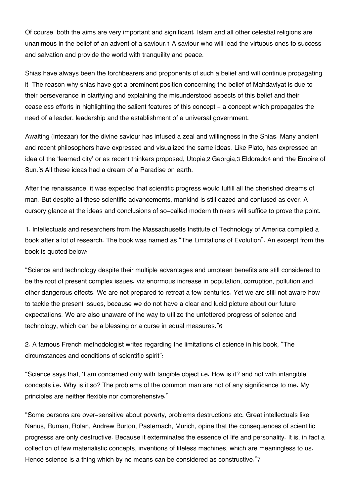Of course, both the aims are very important and significant. Islam and all other celestial religions are unanimous in the belief of an advent of a saviour.[1](#page--1-0) A saviour who will lead the virtuous ones to success and salvation and provide the world with tranquility and peace.

Shias have always been the torchbearers and proponents of such a belief and will continue propagating it. The reason why shias have got a prominent position concerning the belief of Mahdaviyat is due to their perseverance in clarifying and explaining the misunderstood aspects of this belief and their ceaseless efforts in highlighting the salient features of this concept - a concept which propagates the need of a leader, leadership and the establishment of a universal government.

Awaiting (intezaar) for the divine saviour has infused a zeal and willingness in the Shias. Many ancient and recent philosophers have expressed and visualized the same ideas. Like Plato, has expressed an idea of the 'learned city' or as recent thinkers proposed, Utopia,[2](#page--1-0) Georgia,[3](#page--1-0) Eldorado[4](#page--1-0) and 'the Empire of Sun.'[5](#page--1-0) All these ideas had a dream of a Paradise on earth.

After the renaissance, it was expected that scientific progress would fulfill all the cherished dreams of man. But despite all these scientific advancements, mankind is still dazed and confused as ever. A cursory glance at the ideas and conclusions of so-called modern thinkers will suffice to prove the point.

1. Intellectuals and researchers from the Massachusetts Institute of Technology of America compiled a book after a lot of research. The book was named as "The Limitations of Evolution". An excerpt from the book is quoted below:

"Science and technology despite their multiple advantages and umpteen benefits are still considered to be the root of present complex issues. viz enormous increase in population, corruption, pollution and other dangerous effects. We are not prepared to retreat a few centuries. Yet we are still not aware how to tackle the present issues, because we do not have a clear and lucid picture about our future expectations. We are also unaware of the way to utilize the unfettered progress of science and technology, which can be a blessing or a curse in equal measures."[6](#page--1-0)

2. A famous French methodologist writes regarding the limitations of science in his book, "The circumstances and conditions of scientific spirit":

"Science says that, 'I am concerned only with tangible object i.e. How is it? and not with intangible concepts i.e. Why is it so? The problems of the common man are not of any significance to me. My principles are neither flexible nor comprehensive."

"Some persons are over-sensitive about poverty, problems destructions etc. Great intellectuals like Nanus, Ruman, Rolan, Andrew Burton, Pasternach, Murich, opine that the consequences of scientific progresss are only destructive. Because it exterminates the essence of life and personality. It is, in fact a collection of few materialistic concepts, inventions of lifeless machines, which are meaningless to us. Hence science is a thing which by no means can be considered as constructive."[7](#page--1-0)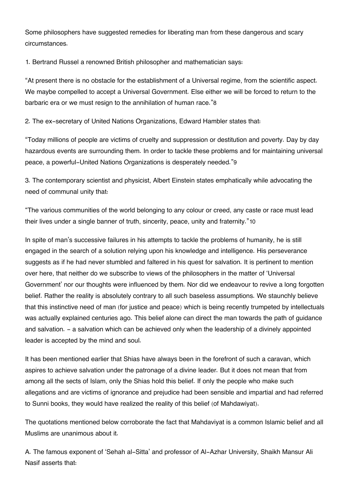Some philosophers have suggested remedies for liberating man from these dangerous and scary circumstances.

1. Bertrand Russel a renowned British philosopher and mathematician says:

"At present there is no obstacle for the establishment of a Universal regime, from the scientific aspect. We maybe compelled to accept a Universal Government. Else either we will be forced to return to the barbaric era or we must resign to the annihilation of human race."[8](#page--1-0)

2. The ex-secretary of United Nations Organizations, Edward Hambler states that:

"Today millions of people are victims of cruelty and suppression or destitution and poverty. Day by day hazardous events are surrounding them. In order to tackle these problems and for maintaining universal peace, a powerful-United Nations Organizations is desperately needed."[9](#page--1-0)

3. The contemporary scientist and physicist, Albert Einstein states emphatically while advocating the need of communal unity that:

"The various communities of the world belonging to any colour or creed, any caste or race must lead their lives under a single banner of truth, sincerity, peace, unity and fraternity."[10](#page--1-0)

In spite of man's successive failures in his attempts to tackle the problems of humanity, he is still engaged in the search of a solution relying upon his knowledge and intelligence. His perseverance suggests as if he had never stumbled and faltered in his quest for salvation. It is pertinent to mention over here, that neither do we subscribe to views of the philosophers in the matter of 'Universal Government' nor our thoughts were influenced by them. Nor did we endeavour to revive a long forgotten belief. Rather the reality is absolutely contrary to all such baseless assumptions. We staunchly believe that this instinctive need of man (for justice and peace) which is being recently trumpeted by intellectuals was actually explained centuries ago. This belief alone can direct the man towards the path of guidance and salvation. - a salvation which can be achieved only when the leadership of a divinely appointed leader is accepted by the mind and soul.

It has been mentioned earlier that Shias have always been in the forefront of such a caravan, which aspires to achieve salvation under the patronage of a divine leader. But it does not mean that from among all the sects of Islam, only the Shias hold this belief. If only the people who make such allegations and are victims of ignorance and prejudice had been sensible and impartial and had referred to Sunni books, they would have realized the reality of this belief (of Mahdawiyat).

The quotations mentioned below corroborate the fact that Mahdaviyat is a common Islamic belief and all Muslims are unanimous about it.

A. The famous exponent of 'Sehah al-Sitta' and professor of Al-Azhar University, Shaikh Mansur Ali Nasif asserts that: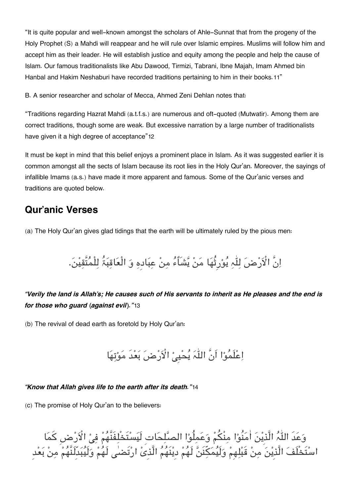"It is quite popular and well-known amongst the scholars of Ahle-Sunnat that from the progeny of the Holy Prophet (S) a Mahdi will reappear and he will rule over Islamic empires. Muslims will follow him and accept him as their leader. He will establish justice and equity among the people and help the cause of Islam. Our famous traditionalists like Abu Dawood, Tirmizi, Tabrani, Ibne Majah, Imam Ahmed bin Hanbal and Hakim Neshaburi have recorded traditions pertaining to him in their books.[11](#page--1-0)"

B. A senior researcher and scholar of Mecca, Ahmed Zeni Dehlan notes that:

"Traditions regarding Hazrat Mahdi (a.t.f.s.) are numerous and oft-quoted (Mutwatir). Among them are correct traditions, though some are weak. But excessive narration by a large number of traditionalists have given it a high degree of acceptance"[12](#page--1-0)

It must be kept in mind that this belief enjoys a prominent place in Islam. As it was suggested earlier it is common amongst all the sects of Islam because its root lies in the Holy Qur'an. Moreover, the sayings of infallible Imams (a.s.) have made it more apparent and famous. Some of the Qur'anic verses and traditions are quoted below.

## **[Qur'anic Verses](#page--1-0)**

(a) The Holy Qur'an gives glad tidings that the earth will be ultimately ruled by the pious men:

# اِنَّ الْاَرْضَ لِلّٰہِ یُوْرِثُهَا مَنْ یَّشَاٌءُ مِنْ عِبَادِهِ وَ الْعَاقِبَۃُ لِلْمُتَّقِیْنَ.

### *"Verily the land is Allah's; He causes such of His servants to inherit as He pleases and the end is for those who guard (against evil)."*[13](#page--1-0)

(b) The revival of dead earth as foretold by Holy Qur'an:

اِعْلَمُوْا اَنَّ اللّٰہَ یُحْییْ الْاَرْضَ بَعْدَ مَوْتِهَا

#### *"Know that Allah gives life to the earth after its death."*[14](#page--1-0)

(c) The promise of Holy Qur'an to the believers:

وَعَدَ اللّٰہُ الَّذِیْنَ اٰمَنُوْا مِنْكُمْ وَعَمِلُوْا الصَّلِحَاتِ لَیَسْتَخْلِفَنَّهُمْ فِیْ الْاَرْضِ کَمَا اسْتَخْلَفَ الَّذِیْنَ مِنْ قَبْلِهِمْ وَلَیُمَكِّنَنَّ لَهُمْ دیْنَهُمُ الَّذِیْ ارْتَضلٰی لَهُمْ وَلَیُبَدِّلَنَّهُمْ مِنْ بَعْد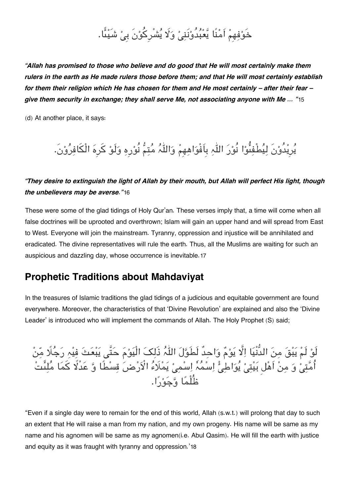# خَوْفِهِمْ اَمْنًا یَّعْبُدُوْنَنِیْ وَلَا یُشْرِکُوْنَ بِیْ شَیْئًا.

*"Allah has promised to those who believe and do good that He will most certainly make them rulers in the earth as He made rulers those before them; and that He will most certainly establish for them their religion which He has chosen for them and He most certainly – after their fear – give them security in exchange; they shall serve Me, not associating anyone with Me … "*[15](#page--1-0)

(d) At another place, it says:

# یرِیدُونَ لیطْفىوا نُور الہ بِاَفْواھھِم والہ متم نُورِہ ولَو کرِہ الْافرون.َ

### *"They desire to extinguish the light of Allah by their mouth, but Allah will perfect His light, though the unbelievers may be averse."*[16](#page--1-0)

These were some of the glad tidings of Holy Qur'an. These verses imply that, a time will come when all false doctrines will be uprooted and overthrown; Islam will gain an upper hand and will spread from East to West. Everyone will join the mainstream. Tyranny, oppression and injustice will be annihilated and eradicated. The divine representatives will rule the earth. Thus, all the Muslims are waiting for such an auspicious and dazzling day, whose occurrence is inevitable.[17](#page--1-0)

### **[Prophetic Traditions about Mahdaviyat](#page--1-0)**

In the treasures of Islamic traditions the glad tidings of a judicious and equitable government are found everywhere. Moreover, the characteristics of that 'Divine Revolution' are explained and also the 'Divine Leader' is introduced who will implement the commands of Allah. The Holy Prophet (S) said;

لَوْ لَمْ يَبْقَ مِنَ الدُّنْيَا اِلَّا يَوْمٌ وَاحِدٌ لَطَوَّلَ اللّٰہُ ذَلِکَ الْيَوْمَ حَتَّى يَبْعَثَ فِيْهِ رَجُلًا مِّنْ اُمَّتِیْ وَ مِنْ اَهْل بَیْتِیْ یُوَاطِئْ اِسْمُہٗ اِسْمِیْ یَمْلَاءُ الْاَرْضَ قِسْطًا وَّ عَدْلًا كَمَا مُلِئَتْ ظُلْمًا وَّجَوْنَّا.

"Even if a single day were to remain for the end of this world, Allah (s.w.t.) will prolong that day to such an extent that He will raise a man from my nation, and my own progeny. His name will be same as my name and his agnomen will be same as my agnomen(i.e. Abul Qasim). He will fill the earth with justice and equity as it was fraught with tyranny and oppression.'[18](#page--1-0)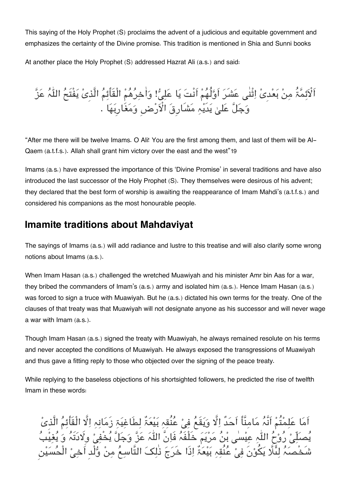This saying of the Holy Prophet (S) proclaims the advent of a judicious and equitable government and emphasizes the certainty of the Divine promise. This tradition is mentioned in Shia and Sunni books

At another place the Holy Prophet (S) addressed Hazrat Ali (a.s.) and said:

اَلْاَئِمَّةُ مِنْ بَعْدِیْ اِثْنٰی عَشَرَ اَوَّلُهُمْ اَنْتَ یَا عَلِیٌّ! وَاٰخِرُهُمْ الْقَأَئِمُ الَّذِیْ یَفْتَحُ اللّٰہُ عَزَّ وَجَلَّ عَلیٰ یَدَیْہِ مَشَارِقَ الْاَرْضِ وَمَغَارِبَهَا .

"After me there will be twelve Imams. O Ali! You are the first among them, and last of them will be Al-Qaem (a.t.f.s.). Allah shall grant him victory over the east and the west"[19](#page--1-0)

Imams (a.s.) have expressed the importance of this 'Divine Promise' in several traditions and have also introduced the last successor of the Holy Prophet (S). They themselves were desirous of his advent; they declared that the best form of worship is awaiting the reappearance of Imam Mahdi's (a.t.f.s.) and considered his companions as the most honourable people.

## **[Imamite traditions about Mahdaviyat](#page--1-0)**

The sayings of Imams (a.s.) will add radiance and lustre to this treatise and will also clarify some wrong notions about Imams (a.s.).

When Imam Hasan (a.s.) challenged the wretched Muawiyah and his minister Amr bin Aas for a war, they bribed the commanders of Imam's (a.s.) army and isolated him (a.s.). Hence Imam Hasan (a.s.) was forced to sign a truce with Muawiyah. But he (a.s.) dictated his own terms for the treaty. One of the clauses of that treaty was that Muawiyah will not designate anyone as his successor and will never wage a war with Imam (a.s.).

Though Imam Hasan (a.s.) signed the treaty with Muawiyah, he always remained resolute on his terms and never accepted the conditions of Muawiyah. He always exposed the transgressions of Muawiyah and thus gave a fitting reply to those who objected over the signing of the peace treaty.

While replying to the baseless objections of his shortsighted followers, he predicted the rise of twelfth Imam in these words:

اَمَا عَلِمْتُمْ اَنَّہُ مَامِنَّاً اَحَدٌ اِلَّا وَيَقَعُ فِيْ عُنُقِہِ بَيْعَۃٌ لِطَاغِيَۃِ زَمَانِہِ اِلَّا الْقَأَئِمُ الَّذِیْ مَصَلِّیْ رُوْحُ اللّٰہِ عِیْسٰی بْنُ مَرْیَمَ خَلْفَہُ فَاِنَّ اللّٰہَ عَزَّ وَجَلَّ یُّخْفِیْ وِلَادَتَہُ وَ یُغِیْبُ شَخْصَہُ لِئَلَّا یَكُوْنَ فِیْ عُنُقِہِ بَیْعَۃٌ اِذَا خَرَجَ ذٰلِکَ التَّاسِعُ مِنْ وُّلْد اَخِیْ الْحُسَیْن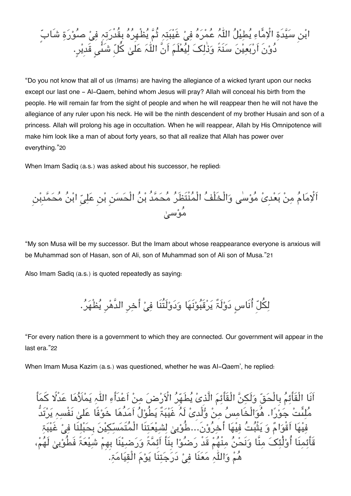

"Do you not know that all of us (Imams) are having the allegiance of a wicked tyrant upon our necks except our last one - Al-Qaem, behind whom Jesus will pray? Allah will conceal his birth from the people. He will remain far from the sight of people and when he will reappear then he will not have the allegiance of any ruler upon his neck. He will be the ninth descendent of my brother Husain and son of a princess. Allah will prolong his age in occultation. When he will reappear, Allah by His Omnipotence will make him look like a man of about forty years, so that all realize that Allah has power over everything."[20](#page--1-0)

When Imam Sadiq (a.s.) was asked about his successor, he replied:

اَلْإِمَامُ مِنْ بَعْدِیْ مُوْسٰی وَالْخَلْفُ الْمُنْتَظَرُ مُحَمَّدُ بْنُ الْحَسَنِ بْنِ عَلِيِّ ابْنُ مُحَمَّدِبْنِ ء<br>موسى*ل* 

"My son Musa will be my successor. But the Imam about whose reappearance everyone is anxious will be Muhammad son of Hasan, son of Ali, son of Muhammad son of Ali son of Musa."[21](#page--1-0)

Also Imam Sadiq (a.s.) is quoted repeatedly as saying:

لِكُلِّ أُنَاسٍ دَوْلَةٌ يَرْقَبُوْنَهَا وَدَوْلَتُنَا فِيْ أَخِرِ الدَّهْرِ يُظْهَرُ.

"For every nation there is a government to which they are connected. Our government will appear in the last era."[22](#page--1-0)

When Imam Musa Kazim (a.s.) was questioned, whether he was AI-Qaem', he replied:

اَنَا الْقَأَئِمُ بِالْحَقّ وَلَكِنَّ الْقَأْئِمَ الَّذِیْ یُطَهِّرُ الْاَرْضَ مِنْ اَعْدَأَءِ اللّٰہِ یَمْلَأُهَا عَدْلًا كَمَأَ ملىت جورا. ھوالْخَامس من ولْدِی لَہ غَیبٌ یطُول اَمدُھا خَوفًا عل نَفْسہ یرتَدُّ فیْهَا اَقْوَامٌ وَ یَتْبُتُ فیْهَا أَخرُوْنَ..علُوْبی لشیعتنَا الْمُتَمَسّکیْنَ بِحَبْلنَا فی غَیْبَۃ قَأئمنَا أُوْلٰئکَ منَّا وَنَحْنُ منْهُمْ قَدْ رَضُوْا بِنَأَ اَئِمَّۃً وَرَضِيْنَا بِهِمْ شَيْعَۃً فَطُوْبِىٰ لَهُمْ، هُمْ وَاللّٰہِ مَعَنَا فِیْ دَرَجَتِنَا یَوْمَ الْقِیَامَۃِ.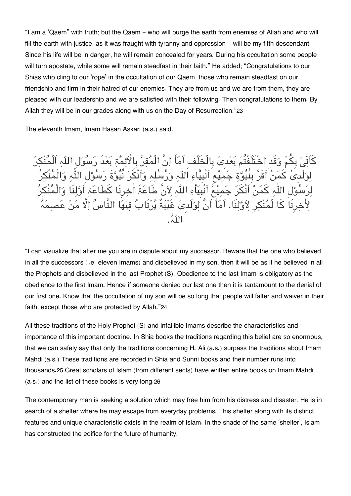"I am a 'Qaem" with truth; but the Qaem - who will purge the earth from enemies of Allah and who will fill the earth with justice, as it was fraught with tyranny and oppression – will be my fifth descendant. Since his life will be in danger, he will remain concealed for years. During his occultation some people will turn apostate, while some will remain steadfast in their faith." He added; "Congratulations to our Shias who cling to our 'rope' in the occultation of our Qaem, those who remain steadfast on our friendship and firm in their hatred of our enemies. They are from us and we are from them, they are pleased with our leadership and we are satisfied with their following. Then congratulations to them. By Allah they will be in our grades along with us on the Day of Resurrection."[23](#page--1-0)

The eleventh Imam, Imam Hasan Askari (a.s.) said:

كَانِيْ بِكُمْ وَقِدِ اخْتَلَفْتُمْ بَعْدِی بِالْخَلْفِ اَمَا اِنَّ الْمَقِرِّ بِالأَئِمَّةِ بَعْدِ رَسُوْلِ اللَّهِ الْمَنْكِرَ لِوَلَدِی کَمَنْ اَقَرَ بِنَبُوَّةِ جَمِیْعِ اَنْبِیَاءِ اللّٰہِ وَرَسَلِہِ وَانْکُرُ نَبُوَّۃٌ رَسُوْلِ اللّٰہِ وَالْمَنْکِرَ لِرَسُوْلِ اللّٰہِ كَمَنْ اَنْكَرَ جَمِيْعَ اَنْبَيَأْءِ اللّٰہِ لِاَنَّ طَاعَۃَ اٰخِرِنَا كَطَاعَۃِ اَوَّلِنَا وَالْمُنْكِرُ لِاخِرِنَا کَا لْمُنْکِرِ لِاَوَّلِنَا. اَمَأْ اَنَّ لَوَلَدیْ غَیْبَۃٌ یَّرْتَابُ فِیْهَا النَّاسُ اِلَّا مَنْ عَصبِمَہُ الہ.

"I can visualize that after me you are in dispute about my successor. Beware that the one who believed in all the successors (i.e. eleven Imams) and disbelieved in my son, then it will be as if he believed in all the Prophets and disbelieved in the last Prophet (S). Obedience to the last Imam is obligatory as the obedience to the first Imam. Hence if someone denied our last one then it is tantamount to the denial of our first one. Know that the occultation of my son will be so long that people will falter and waiver in their faith, except those who are protected by Allah."[24](#page--1-0)

All these traditions of the Holy Prophet (S) and infallible Imams describe the characteristics and importance of this important doctrine. In Shia books the traditions regarding this belief are so enormous, that we can safely say that only the traditions concerning H. Ali (a.s.) surpass the traditions about Imam Mahdi (a.s.) These traditions are recorded in Shia and Sunni books and their number runs into thousands.[25](#page--1-0) Great scholars of Islam (from different sects) have written entire books on Imam Mahdi (a.s.) and the list of these books is very long.[26](#page--1-0)

The contemporary man is seeking a solution which may free him from his distress and disaster. He is in search of a shelter where he may escape from everyday problems. This shelter along with its distinct features and unique characteristic exists in the realm of Islam. In the shade of the same 'shelter', Islam has constructed the edifice for the future of humanity.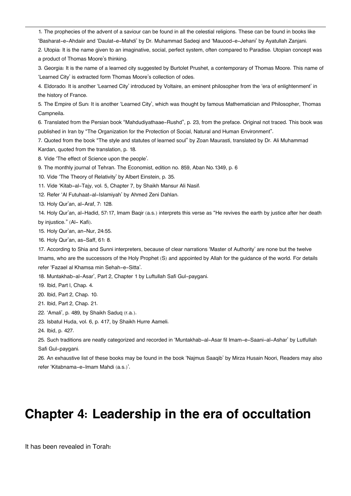[1.](#page--1-0) The prophecies of the advent of a saviour can be found in all the celestial religions. These can be found in books like

'Basharat-e-Ahdaiir and 'Daulat-e-Mahdi' by Dr. Muhammad Sadeqi and 'Mauood-e-Jehani' by Ayatullah Zanjani.

[2.](#page--1-0) Utopia: It is the name given to an imaginative, social, perfect system, often compared to Paradise. Utopian concept was a product of Thomas Moore's thinking.

[3.](#page--1-0) Georgia: It is the name of a learned city suggested by Burtolet Prushet, a contemporary of Thomas Moore. This name of 'Learned City' is extracted form Thomas Moore's collection of odes.

[4.](#page--1-0) Eldorado: It is another 'Learned City' introduced by Voltaire, an eminent philosopher from the 'era of enlightenment' in the history of France.

[5.](#page--1-0) The Empire of Sun: It is another 'Learned City', which was thought by famous Mathematician and Philosopher, Thomas Campneila.

[6.](#page--1-0) Translated from the Persian book "Mahdudiyathaae-Rushd", p. 23, from the preface. Original not traced. This book was published in Iran by "The Organization for the Protection of Social, Natural and Human Environment".

[7.](#page--1-0) Quoted from the book "The style and statutes of learned soul" by Zoan Maurasti, translated by Dr. Ali Muhammad Kardan, quoted from the translation, p. 18.

[8.](#page--1-0) Vide 'The effect of Science upon the people'.

[9.](#page--1-0) The monthly journal of Tehran. The Economist, edition no. 859, Aban No.1349, p. 6

[10.](#page--1-0) Vide 'The Theory of Relativity' by Albert Einstein, p. 35.

[11.](#page--1-0) Vide 'Kitab-al-Tajy, vol. 5, Chapter 7, by Shaikh Mansur Ali Nasif.

[12.](#page--1-0) Refer 'Al Futuhaat-al-Islamiyah' by Ahmed Zeni Dahlan.

[13.](#page--1-0) Holy Qur'an, al-Araf, 7: 128.

[14.](#page--1-0) Holy Qur'an, al-Hadid, 57:17, Imam Baqir (a.s.) interprets this verse as "He revives the earth by justice after her death by injustice." (Al- Kafi).

[15.](#page--1-0) Holy Qur'an, an-Nur, 24:55.

[16.](#page--1-0) Holy Qur'an, as-Saff, 61: 8.

[17.](#page--1-0) According to Shia and Sunni interpreters, because of clear narrations 'Master of Authority' are none but the twelve Imams, who are the successors of the Holy Prophet (S) and appointed by Allah for the guidance of the world. For details refer 'Fazael al Khamsa min Sehah-e-Sitta'.

[18.](#page--1-0) Muntakhab-al-Asar', Part 2, Chapter 1 by Luftullah Safi Gul-paygani.

[19.](#page--1-0) Ibid, Part l, Chap. 4.

[20.](#page--1-0) Ibid, Part 2, Chap. 10.

[21.](#page--1-0) Ibid, Part 2, Chap. 21.

[22.](#page--1-0) 'Amali', p. 489, by Shaikh Saduq (r.a.).

[23.](#page--1-0) Isbatul Huda, vol. 6, p. 417, by Shaikh Hurre Aameli.

[24.](#page--1-0) Ibid, p. 427.

[25.](#page--1-0) Such traditions are neatly categorized and recorded in 'Muntakhab-al-Asar fil Imam-e-Saani-al-Ashar' by Lutfullah Safi Gul-paygani.

[26.](#page--1-0) An exhaustive list of these books may be found in the book 'Najmus Saaqib' by Mirza Husain Noori, Readers may also refer 'Kitabnama-e-Imam Mahdi (a.s.)'.

# **Chapter 4: Leadership in the era of occultation**

It has been revealed in Torah: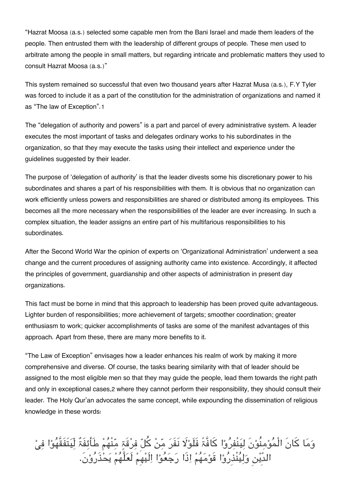"Hazrat Moosa (a.s.) selected some capable men from the Bani Israel and made them leaders of the people. Then entrusted them with the leadership of different groups of people. These men used to arbitrate among the people in small matters, but regarding intricate and problematic matters they used to consult Hazrat Moosa (a.s.)"

This system remained so successful that even two thousand years after Hazrat Musa (a.s.), F.Y Tyler was forced to include it as a part of the constitution for the administration of organizations and named it as "The law of Exception".[1](#page--1-0)

The "delegation of authority and powers" is a part and parcel of every administrative system. A leader executes the most important of tasks and delegates ordinary works to his subordinates in the organization, so that they may execute the tasks using their intellect and experience under the guidelines suggested by their leader.

The purpose of 'delegation of authority' is that the leader divests some his discretionary power to his subordinates and shares a part of his responsibilities with them. It is obvious that no organization can work efficiently unless powers and responsibilities are shared or distributed among its employees. This becomes all the more necessary when the responsibilities of the leader are ever increasing. In such a complex situation, the leader assigns an entire part of his multifarious responsibilities to his subordinates.

After the Second World War the opinion of experts on 'Organizational Administration' underwent a sea change and the current procedures of assigning authority came into existence. Accordingly, it affected the principles of government, guardianship and other aspects of administration in present day organizations.

This fact must be borne in mind that this approach to leadership has been proved quite advantageous. Lighter burden of responsibilities; more achievement of targets; smoother coordination; greater enthusiasm to work; quicker accomplishments of tasks are some of the manifest advantages of this approach. Apart from these, there are many more benefits to it.

"The Law of Exception" envisages how a leader enhances his realm of work by making it more comprehensive and diverse. Of course, the tasks bearing similarity with that of leader should be assigned to the most eligible men so that they may guide the people, lead them towards the right path and only in exceptional cases,[2](#page--1-0) where they cannot perform their responsibility, they should consult their leader. The Holy Qur'an advocates the same concept, while expounding the dissemination of religious knowledge in these words:

وَمَا كَانَ الْمُوْمِنُوْنَ لِيَنْفِرُوْا كَافَّۃً فَلَوْلَا نَفَرَ مِّنْ كُلّ فِرْقَةٍ مِّنْهُمْ طَأَئِفَةٌ لِّيَتَفَقَّهُوْا فِيْ الدِّین ولینْذِروا قَومھم اذَا رجعوا الَیھِم لَعلَّھم یحذَرون.َ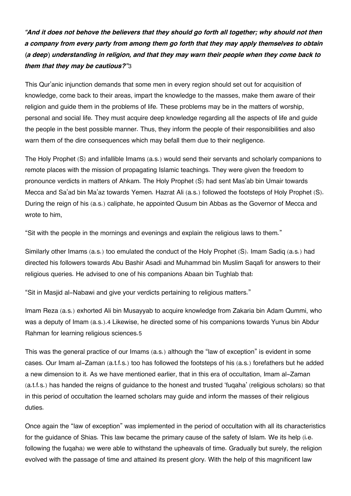*"And it does not behove the believers that they should go forth all together; why should not then a company from every party from among them go forth that they may apply themselves to obtain (a deep) understanding in religion, and that they may warn their people when they come back to them that they may be cautious?"*[3](#page--1-0)

This Qur'anic injunction demands that some men in every region should set out for acquisition of knowledge, come back to their areas, impart the knowledge to the masses, make them aware of their religion and guide them in the problems of life. These problems may be in the matters of worship, personal and social life. They must acquire deep knowledge regarding all the aspects of life and guide the people in the best possible manner. Thus, they inform the people of their responsibilities and also warn them of the dire consequences which may befall them due to their negligence.

The Holy Prophet (S) and infallible Imams (a.s.) would send their servants and scholarly companions to remote places with the mission of propagating Islamic teachings. They were given the freedom to pronounce verdicts in matters of Ahkam. The Holy Prophet (S) had sent Mas'ab bin Umair towards Mecca and Sa'ad bin Ma'az towards Yemen. Hazrat Ali (a.s.) followed the footsteps of Holy Prophet (S). During the reign of his (a.s.) caliphate, he appointed Qusum bin Abbas as the Governor of Mecca and wrote to him,

"Sit with the people in the mornings and evenings and explain the religious laws to them."

Similarly other Imams (a.s.) too emulated the conduct of the Holy Prophet (S). Imam Sadiq (a.s.) had directed his followers towards Abu Bashir Asadi and Muhammad bin Muslim Saqafi for answers to their religious queries. He advised to one of his companions Abaan bin Tughlab that:

"Sit in Masjid al-Nabawi and give your verdicts pertaining to religious matters."

Imam Reza (a.s.) exhorted Ali bin Musayyab to acquire knowledge from Zakaria bin Adam Qummi, who was a deputy of Imam (a.s.).[4](#page--1-0) Likewise, he directed some of his companions towards Yunus bin Abdur Rahman for learning religious sciences.[5](#page--1-0)

This was the general practice of our Imams (a.s.) although the "law of exception" is evident in some cases. Our Imam al-Zaman (a.t.f.s.) too has followed the footsteps of his (a.s.) forefathers but he added a new dimension to it. As we have mentioned earlier, that in this era of occultation, Imam al-Zaman (a.t.f.s.) has handed the reigns of guidance to the honest and trusted 'fuqaha' (religious scholars) so that in this period of occultation the learned scholars may guide and inform the masses of their religious duties.

Once again the "law of exception" was implemented in the period of occultation with all its characteristics for the guidance of Shias. This law became the primary cause of the safety of Islam. We its help (i.e. following the fuqaha) we were able to withstand the upheavals of time. Gradually but surely, the religion evolved with the passage of time and attained its present glory. With the help of this magnificent law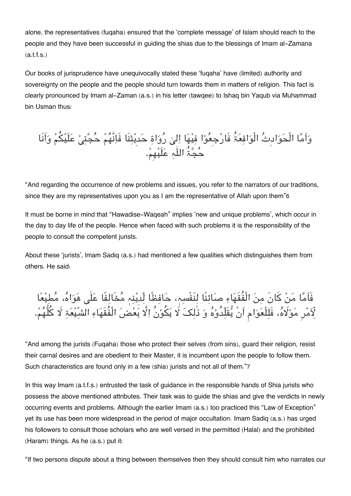alone, the representatives (fuqaha) ensured that the 'complete message' of Islam should reach to the people and they have been successful in guiding the shias due to the blessings of Imam al-Zamana (a.t.f.s.)

Our books of jurisprudence have unequivocally stated these 'fuqaha' have (limited) authority and sovereignty on the people and the people should turn towards them in matters of religion. This fact is clearly pronounced by Imam al-Zaman (a.s.) in his letter (tawqee) to Ishaq bin Yaqub via Muhammad bin Usman thus:

واَما الْحوادِث الْواقعُ فَارجِعوا فیھا ال رواۃ حدِیثنَا فَانَّھم حجت علَیم واَنَا حجُ الہ علَیھِم.

"And regarding the occurrence of new problems and issues, you refer to the narrators of our traditions, since they are my representatives upon you as I am the representative of Allah upon them"[6](#page--1-0)

It must be borne in mind that "Hawadise-Waqeah" implies 'new and unique problems', which occur in the day to day life of the people. Hence when faced with such problems it is the responsibility of the people to consult the competent jurists.

About these 'jurists', lmam Sadiq (a.s.) had mentioned a few qualities which distinguishes them from others. He said:

فَاَما من کانَ من الْفُقَھاء صائنًا لنَفْسہ، حافظًا لّدِینہ مخَالفًا علٰ ھواہ، مطیعا لِأَمْرِ مَوْلَاهُ، فَلِلْعَوَامِ اَنْ يَقْلِدُوْهُ وَ ذٰلِكَ لَا يَكُوْنُ اِلّا بَعْضَ الْفُقْهَاءِ الشّیفَۃِ لا کلّهُمْ.

"And among the jurists (Fuqaha) those who protect their selves (from sins), guard their religion, resist their carnal desires and are obedient to their Master, it is incumbent upon the people to follow them. Such characteristics are found only in a few (shia) jurists and not all of them."[7](#page--1-0)

In this way Imam (a.t.f.s.) entrusted the task of guidance in the responsible hands of Shia jurists who possess the above mentioned attributes. Their task was to guide the shias and give the verdicts in newly occurring events and problems. Although the earlier Imam (a.s.) too practiced this "Law of Exception" yet its use has been more widespread in the period of major occultation. Imam Sadiq (a.s.) has urged his followers to consult those scholars who are well versed in the permitted (Halal) and the prohibited (Haram) things. As he (a.s.) put it:

"If two persons dispute about a thing between themselves then they should consult him who narrates our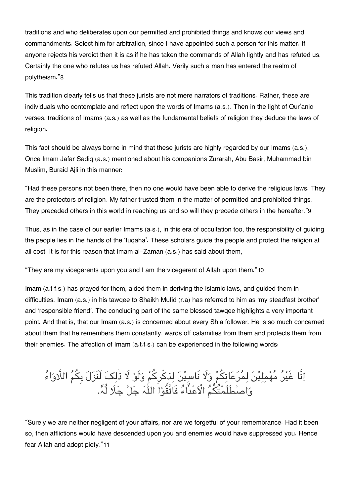traditions and who deliberates upon our permitted and prohibited things and knows our views and commandments. Select him for arbitration, since I have appointed such a person for this matter. If anyone rejects his verdict then it is as if he has taken the commands of Allah lightly and has refuted us. Certainly the one who refutes us has refuted Allah. Verily such a man has entered the realm of polytheism."[8](#page--1-0)

This tradition clearly tells us that these jurists are not mere narrators of traditions. Rather, these are individuals who contemplate and reflect upon the words of Imams (a.s.). Then in the light of Qur'anic verses, traditions of Imams (a.s.) as well as the fundamental beliefs of religion they deduce the laws of religion.

This fact should be always borne in mind that these jurists are highly regarded by our Imams (a.s.). Once Imam Jafar Sadiq (a.s.) mentioned about his companions Zurarah, Abu Basir, Muhammad bin Muslim, Buraid Ajli in this manner:

"Had these persons not been there, then no one would have been able to derive the religious laws. They are the protectors of religion. My father trusted them in the matter of permitted and prohibited things. They preceded others in this world in reaching us and so will they precede others in the hereafter."[9](#page--1-0)

Thus, as in the case of our earlier Imams (a.s.), in this era of occultation too, the responsibility of guiding the people lies in the hands of the 'fuqaha'. These scholars guide the people and protect the religion at all cost. It is for this reason that Imam al-Zaman (a.s.) has said about them,

"They are my vicegerents upon you and I am the vicegerent of Allah upon them."[10](#page--1-0)

Imam (a.t.f.s.) has prayed for them, aided them in deriving the Islamic laws, and guided them in difficulties. Imam (a.s.) in his tawqee to Shaikh Mufid (r.a) has referred to him as 'my steadfast brother' and 'responsible friend'. The concluding part of the same blessed tawqee highlights a very important point. And that is, that our Imam (a.s.) is concerned about every Shia follower. He is so much concerned about them that he remembers them constantly, wards off calamities from them and protects them from their enemies. The affection of Imam (a.t.f.s.) can be experienced in the following words:

# اِنَا غَیْرُ مُهْمِلِیْنَ لِمُرَعَاتِکمْ وَلَا نَاسِیْنَ لِذِکرِکمْ وَلَوْ لَا ذَلِکَ لَنَزَلَ بِکُمَ اللَّاوَاءَ وَاصْطَلَمْتُكُمُ الْأَعْدَاءُ فَاتَّقَوْا اللَّہُ جَلِّ جَلَا لَہٗ.

"Surely we are neither negligent of your affairs, nor are we forgetful of your remembrance. Had it been so, then afflictions would have descended upon you and enemies would have suppressed you. Hence fear Allah and adopt piety."[11](#page--1-0)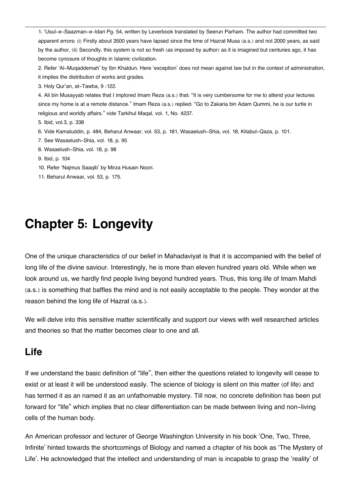[1.](#page--1-0) 'Usul-e-Saazman-e-Idari Pg. 54, written by Leverbook translated by Seerun Parham. The author had committed two apparent errors: (i) Firstly about 3500 years have lapsed since the time of Hazrat Musa (a.s.) and not 2000 years, as said by the author, (ii) Secondly, this system is not so fresh (as imposed by author) as it is imagined but centuries ago, it has become cynosure of thoughts in Islamic civilization.

[2.](#page--1-0) Refer 'Al-Muqaddemah' by Ibn Khaldun. Here 'exception' does not mean against law but in the context of administration, it implies the distribution of works and grades.

[3.](#page--1-0) Holy Qur'an, at-Tawba, 9 :122.

[4.](#page--1-0) Ali bin Musayyab relates that I implored Imam Reza (a.s.) that: "It is very cumbersome for me to attend your lectures since my home is at a remote distance." Imam Reza (a.s.) replied: "Go to Zakaria bin Adam Qummi, he is our turtle in religious and worldly affairs." vide Tarkihul Maqal, vol. 1, No. 4237.

- [5.](#page--1-0) Ibid, vol.3, p. 338
- [6.](#page--1-0) Vide Kamaluddin, p. 484, Beharul Anwaar, vol. 53, p. 181, Wasaelush-Shia, vol. 18, Kitabul-Qaza, p. 101.
- [7.](#page--1-0) See Wasaelush-Shia, vol. 18, p. 95
- [8.](#page--1-0) Wasaelush-Shia, vol. 18, p. 98
- [9.](#page--1-0) Ibid, p. 104
- [10.](#page--1-0) Refer 'Najmus Saaqib' by Mirza Husain Noori.
- [11.](#page--1-0) Beharul Anwaar, vol. 53, p. 175.

# **Chapter 5: Longevity**

One of the unique characteristics of our belief in Mahadaviyat is that it is accompanied with the belief of long life of the divine saviour. Interestingly, he is more than eleven hundred years old. While when we look around us, we hardly find people living beyond hundred years. Thus, this long life of Imam Mahdi (a.s.) is something that baffles the mind and is not easily acceptable to the people. They wonder at the reason behind the long life of Hazrat (a.s.).

We will delve into this sensitive matter scientifically and support our views with well researched articles and theories so that the matter becomes clear to one and all.

## **[Life](#page--1-0)**

If we understand the basic definition of "life", then either the questions related to longevity will cease to exist or at least it will be understood easily. The science of biology is silent on this matter (of life) and has termed it as an named it as an unfathomable mystery. Till now, no concrete definition has been put forward for "life" which implies that no clear differentiation can be made between living and non-living cells of the human body.

An American professor and lecturer of George Washington University in his book 'One, Two, Three, Infinite' hinted towards the shortcomings of Biology and named a chapter of his book as 'The Mystery of Life'. He acknowledged that the intellect and understanding of man is incapable to grasp the 'reality' of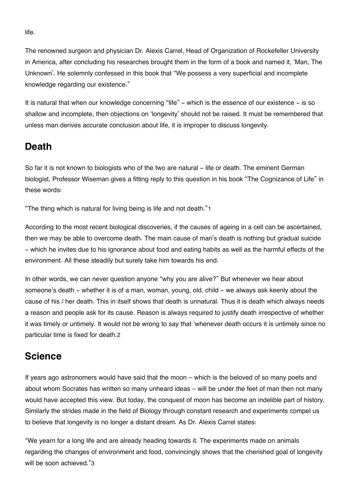life.

The renowned surgeon and physician Dr. Alexis Carrel, Head of Organization of Rockefeller University in America, after concluding his researches brought them in the form of a book and named it, 'Man, The Unknown'. He solemnly confessed in this book that "We possess a very superficial and incomplete knowledge regarding our existence."

It is natural that when our knowledge concerning "life" - which is the essence of our existence - is so shallow and incomplete, then objections on 'longevity' should not be raised. It must be remembered that unless man derives accurate conclusion about life, it is improper to discuss longevity.

## **[Death](#page--1-0)**

So far it is not known to biologists who of the two are natural - life or death. The eminent German biologist, Professor Wiseman gives a fitting reply to this question in his book "The Cognizance of Life" in these words:

"The thing which is natural for living being is life and not death."[1](#page--1-0)

According to the most recent biological discoveries, if the causes of ageing in a cell can be ascertained, then we may be able to overcome death. The main cause of man's death is nothing but gradual suicide - which he invites due to his ignorance about food and eating habits as well as the harmful effects of the environment. All these steadily but surely take him towards his end.

In other words, we can never question anyone "why you are alive?" But whenever we hear about someone's death - whether it is of a man, woman, young, old, child - we always ask keenly about the cause of his / her death. This in itself shows that death is unnatural. Thus it is death which always needs a reason and people ask for its cause. Reason is always required to justify death irrespective of whether it was timely or untimely. It would not be wrong to say that 'whenever death occurs it is untimely since no particular time is fixed for death.[2](#page--1-0)

## **[Science](#page--1-0)**

If years ago astronomers would have said that the moon – which is the beloved of so many poets and about whom Socrates has written so many unheard ideas – will be under the feet of man then not many would have accepted this view. But today, the conquest of moon has become an indelible part of history. Similarly the strides made in the field of Biology through constant research and experiments compel us to believe that longevity is no longer a distant dream. As Dr. Alexis Carrel states:

"We yearn for a long life and are already heading towards it. The experiments made on animals regarding the changes of environment and food, convincingly shows that the cherished goal of longevity will be soon achieved."[3](#page--1-0)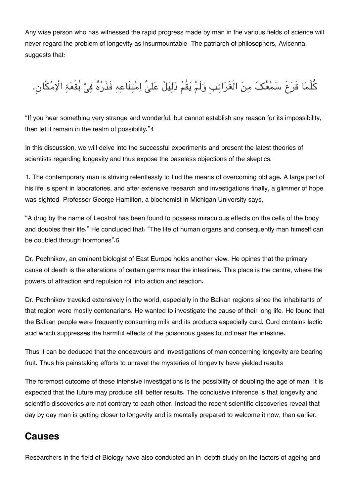Any wise person who has witnessed the rapid progress made by man in the various fields of science will never regard the problem of longevity as insurmountable. The patriarch of philosophers, Avicenna, suggests that:

كُلَّمَا قَرَعَ سَمْعُکَ مِنَ الْغَرَائِبِ وَلَمْ یَقُمْ دَلِیَلٌ عَلیْ اِمْتِنَاعِہِ فَذَرْهُ فِیْ بُقْعَۃِ الْاِمْكَانِ.

"If you hear something very strange and wonderful, but cannot establish any reason for its impossibility, then let it remain in the realm of possibility."[4](#page--1-0)

In this discussion, we will delve into the successful experiments and present the latest theories of scientists regarding longevity and thus expose the baseless objections of the skeptics.

1. The contemporary man is striving relentlessly to find the means of overcoming old age. A large part of his life is spent in laboratories, and after extensive research and investigations finally, a glimmer of hope was sighted. Professor George Hamilton, a biochemist in Michigan University says,

"A drug by the name of Leostrol has been found to possess miraculous effects on the cells of the body and doubles their life." He concluded that: "The life of human organs and consequently man himself can be doubled through hormones".[5](#page--1-0)

Dr. Pechnikov, an eminent biologist of East Europe holds another view. He opines that the primary cause of death is the alterations of certain germs near the intestines. This place is the centre, where the powers of attraction and repulsion roll into action and reaction.

Dr. Pechnikov traveled extensively in the world, especially in the Balkan regions since the inhabitants of that region were mostly centenarians. He wanted to investigate the cause of their long life. He found that the Balkan people were frequently consuming milk and its products especially curd. Curd contains lactic acid which suppresses the harmful effects of the poisonous gases found near the intestine.

Thus it can be deduced that the endeavours and investigations of man concerning longevity are bearing fruit. Thus his painstaking efforts to unravel the mysteries of longevity have yielded results

The foremost outcome of these intensive investigations is the possibility of doubling the age of man. It is expected that the future may produce still better results. The conclusive inference is that longevity and scientific discoveries are not contrary to each other. Instead the recent scientific discoveries reveal that day by day man is getting closer to longevity and is mentally prepared to welcome it now, than earlier.

## **[Causes](#page--1-0)**

Researchers in the field of Biology have also conducted an in-depth study on the factors of ageing and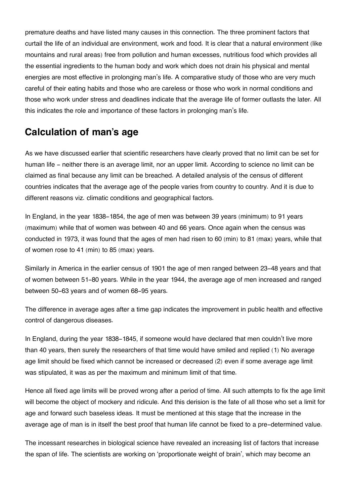premature deaths and have listed many causes in this connection. The three prominent factors that curtail the life of an individual are environment, work and food. It is clear that a natural environment (like mountains and rural areas) free from pollution and human excesses, nutritious food which provides all the essential ingredients to the human body and work which does not drain his physical and mental energies are most effective in prolonging man's life. A comparative study of those who are very much careful of their eating habits and those who are careless or those who work in normal conditions and those who work under stress and deadlines indicate that the average life of former outlasts the later. All this indicates the role and importance of these factors in prolonging man's life.

## **[Calculation of man's age](#page--1-0)**

As we have discussed earlier that scientific researchers have clearly proved that no limit can be set for human life - neither there is an average limit, nor an upper limit. According to science no limit can be claimed as final because any limit can be breached. A detailed analysis of the census of different countries indicates that the average age of the people varies from country to country. And it is due to different reasons viz. climatic conditions and geographical factors.

In England, in the year 1838-1854, the age of men was between 39 years (minimum) to 91 years (maximum) while that of women was between 40 and 66 years. Once again when the census was conducted in 1973, it was found that the ages of men had risen to 60 (min) to 81 (max) years, while that of women rose to 41 (min) to 85 (max) years.

Similarly in America in the earlier census of 1901 the age of men ranged between 23-48 years and that of women between 51-80 years. While in the year 1944, the average age of men increased and ranged between 50-63 years and of women 68-95 years.

The difference in average ages after a time gap indicates the improvement in public health and effective control of dangerous diseases.

In England, during the year 1838-1845, if someone would have declared that men couldn't live more than 40 years, then surely the researchers of that time would have smiled and replied (1) No average age limit should be fixed which cannot be increased or decreased (2) even if some average age limit was stipulated, it was as per the maximum and minimum limit of that time.

Hence all fixed age limits will be proved wrong after a period of time. All such attempts to fix the age limit will become the object of mockery and ridicule. And this derision is the fate of all those who set a limit for age and forward such baseless ideas. It must be mentioned at this stage that the increase in the average age of man is in itself the best proof that human life cannot be fixed to a pre-determined value.

The incessant researches in biological science have revealed an increasing list of factors that increase the span of life. The scientists are working on 'proportionate weight of brain', which may become an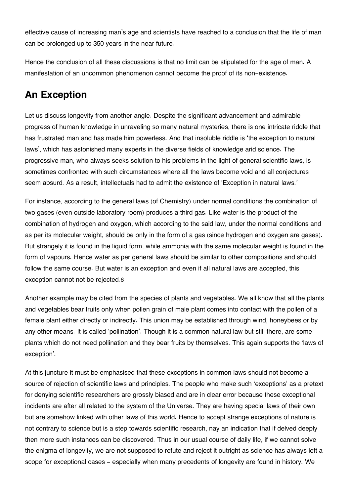effective cause of increasing man's age and scientists have reached to a conclusion that the life of man can be prolonged up to 350 years in the near future.

Hence the conclusion of all these discussions is that no limit can be stipulated for the age of man. A manifestation of an uncommon phenomenon cannot become the proof of its non-existence.

## **[An Exception](#page--1-0)**

Let us discuss longevity from another angle. Despite the significant advancement and admirable progress of human knowledge in unraveling so many natural mysteries, there is one intricate riddle that has frustrated man and has made him powerless. And that insoluble riddle is 'the exception to natural laws', which has astonished many experts in the diverse fields of knowledge arid science. The progressive man, who always seeks solution to his problems in the light of general scientific laws, is sometimes confronted with such circumstances where all the laws become void and all conjectures seem absurd. As a result, intellectuals had to admit the existence of 'Exception in natural laws.'

For instance, according to the general laws (of Chemistry) under normal conditions the combination of two gases (even outside laboratory room) produces a third gas. Like water is the product of the combination of hydrogen and oxygen, which according to the said law, under the normal conditions and as per its molecular weight, should be only in the form of a gas (since hydrogen and oxygen are gases). But strangely it is found in the liquid form, while ammonia with the same molecular weight is found in the form of vapours. Hence water as per general laws should be similar to other compositions and should follow the same course. But water is an exception and even if all natural laws are accepted, this exception cannot not be rejected.[6](#page--1-0)

Another example may be cited from the species of plants and vegetables. We all know that all the plants and vegetables bear fruits only when pollen grain of male plant comes into contact with the pollen of a female plant either directly or indirectly. This union may be established through wind, honeybees or by any other means. It is called 'pollination'. Though it is a common natural law but still there, are some plants which do not need pollination and they bear fruits by themselves. This again supports the 'laws of exception'.

At this juncture it must be emphasised that these exceptions in common laws should not become a source of rejection of scientific laws and principles. The people who make such 'exceptions' as a pretext for denying scientific researchers are grossly biased and are in clear error because these exceptional incidents are after all related to the system of the Universe. They are having special laws of their own but are somehow linked with other laws of this world. Hence to accept strange exceptions of nature is not contrary to science but is a step towards scientific research, nay an indication that if delved deeply then more such instances can be discovered. Thus in our usual course of daily life, if we cannot solve the enigma of longevity, we are not supposed to refute and reject it outright as science has always left a scope for exceptional cases - especially when many precedents of longevity are found in history. We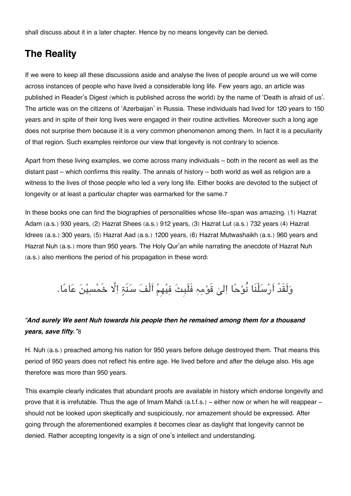shall discuss about it in a later chapter. Hence by no means longevity can be denied.

## **[The Reality](#page--1-0)**

If we were to keep all these discussions aside and analyse the lives of people around us we will come across instances of people who have lived a considerable long life. Few years ago, an article was published in Reader's Digest (which is published across the world) by the name of 'Death is afraid of us'. The article was on the citizens of 'Azerbaijan' in Russia. These individuals had lived for 120 years to 150 years and in spite of their long lives were engaged in their routine activities. Moreover such a long age does not surprise them because it is a very common phenomenon among them. In fact it is a peculiarity of that region. Such examples reinforce our view that longevity is not contrary to science.

Apart from these living examples, we come across many individuals – both in the recent as well as the distant past – which confirms this reality. The annals of history – both world as well as religion are a witness to the lives of those people who led a very long life. Either books are devoted to the subject of longevity or at least a particular chapter was earmarked for the same.[7](#page--1-0)

In these books one can find the biographies of personalities whose life-span was amazing. (1) Hazrat Adam (a.s.) 930 years, (2) Hazrat Shees (a.s.) 912 years, (3) Hazrat Lut (a.s.) 732 years (4) Hazrat Idrees (a.s.) 300 years, (5) Hazrat Aad (a.s.) 1200 years, (6) Hazrat Mutwashaikh (a.s.) 960 years and Hazrat Nuh (a.s.) more than 950 years. The Holy Qur'an while narrating the anecdote of Hazrat Nuh (a.s.) also mentions the period of his propagation in these word:

وَلَقَدْ اَرْسَلْنَا نُوْحًا اِلىٰ قَوْمِہِ فَلَبِتَ فِيْهِمْ اَلْفَ سَنَةٍ اِلَّا خَمْسِيْنَ عَامًا.

### *"And surely We sent Nuh towards his people then he remained among them for a thousand years, save fifty."*[8](#page--1-0)

H. Nuh (a.s.) preached among his nation for 950 years before deluge destroyed them. That means this period of 950 years does not reflect his entire age. He lived before and after the deluge also. His age therefore was more than 950 years.

This example clearly indicates that abundant proofs are available in history which endorse longevity and prove that it is irrefutable. Thus the age of Imam Mahdi (a.t.f.s.) - either now or when he will reappear should not be looked upon skeptically and suspiciously, nor amazement should be expressed. After going through the aforementioned examples it becomes clear as daylight that longevity cannot be denied. Rather accepting longevity is a sign of one's intellect and understanding.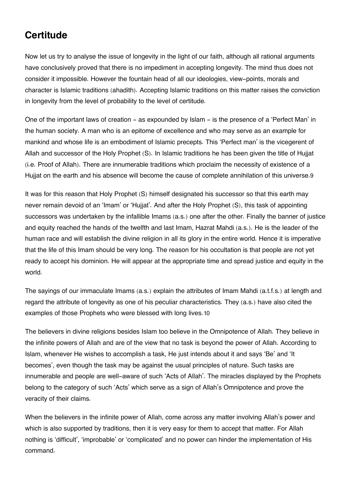## **[Certitude](#page--1-0)**

Now let us try to analyse the issue of longevity in the light of our faith, although all rational arguments have conclusively proved that there is no impediment in accepting longevity. The mind thus does not consider it impossible. However the fountain head of all our ideologies, view-points, morals and character is Islamic traditions (ahadith). Accepting Islamic traditions on this matter raises the conviction in longevity from the level of probability to the level of certitude.

One of the important laws of creation - as expounded by Islam - is the presence of a 'Perfect Man' in the human society. A man who is an epitome of excellence and who may serve as an example for mankind and whose life is an embodiment of Islamic precepts. This 'Perfect man' is the vicegerent of Allah and successor of the Holy Prophet (S). In Islamic traditions he has been given the title of Hujjat (i.e. Proof of Allah). There are innumerable traditions which proclaim the necessity of existence of a Hujjat on the earth and his absence will become the cause of complete annihilation of this universe.[9](#page--1-0)

It was for this reason that Holy Prophet (S) himself designated his successor so that this earth may never remain devoid of an 'Imam' or 'Hujjat'. And after the Holy Prophet (S), this task of appointing successors was undertaken by the infallible Imams (a.s.) one after the other. Finally the banner of justice and equity reached the hands of the twelfth and last Imam, Hazrat Mahdi (a.s.). He is the leader of the human race and will establish the divine religion in all its glory in the entire world. Hence it is imperative that the life of this Imam should be very long. The reason for his occultation is that people are not yet ready to accept his dominion. He will appear at the appropriate time and spread justice and equity in the world.

The sayings of our immaculate Imams (a.s.) explain the attributes of Imam Mahdi (a.t.f.s.) at length and regard the attribute of longevity as one of his peculiar characteristics. They (a.s.) have also cited the examples of those Prophets who were blessed with long lives.[10](#page--1-0)

The believers in divine religions besides Islam too believe in the Omnipotence of Allah. They believe in the infinite powers of Allah and are of the view that no task is beyond the power of Allah. According to Islam, whenever He wishes to accomplish a task, He just intends about it and says 'Be' and 'It becomes', even though the task may be against the usual principles of nature. Such tasks are innumerable and people are well-aware of such 'Acts of Allah'. The miracles displayed by the Prophets belong to the category of such 'Acts' which serve as a sign of Allah's Omnipotence and prove the veracity of their claims.

When the believers in the infinite power of Allah, come across any matter involving Allah's power and which is also supported by traditions, then it is very easy for them to accept that matter. For Allah nothing is 'difficult', 'improbable' or 'complicated' and no power can hinder the implementation of His command.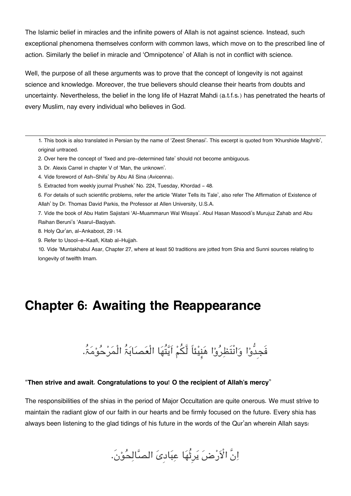The Islamic belief in miracles and the infinite powers of Allah is not against science. Instead, such exceptional phenomena themselves conform with common laws, which move on to the prescribed line of action. Similarly the belief in miracle and 'Omnipotence' of Allah is not in conflict with science.

Well, the purpose of all these arguments was to prove that the concept of longevity is not against science and knowledge. Moreover, the true believers should cleanse their hearts from doubts and uncertainty. Nevertheless, the belief in the long life of Hazrat Mahdi (a.t.f.s.) has penetrated the hearts of every Muslim, nay every individual who believes in God.

[1.](#page--1-0) This book is also translated in Persian by the name of 'Zeest Shenasi'. This excerpt is quoted from 'Khurshide Maghrib', original untraced.

[2.](#page--1-0) Over here the concept of 'fixed and pre-determined fate' should not become ambiguous.

- [3.](#page--1-0) Dr. Alexis Carrel in chapter V of 'Man, the unknown'.
- [4.](#page--1-0) Vide foreword of Ash-Shifa' by Abu Ali Sina (Avicenna).

[5.](#page--1-0) Extracted from weekly journal Prushek' No. 224, Tuesday, Khordad - 48.

[6.](#page--1-0) For details of such scientific problems, refer the article 'Water Tells its Tale', also refer The Affirmation of Existence of Allah' by Dr. Thomas David Parkis, the Professor at Allen University, U.S.A.

[7.](#page--1-0) Vide the book of Abu Hatim Sajistani 'Al-Muammarun Wal Wisaya'. Abul Hasan Masoodi's Murujuz Zahab and Abu Raihan Beruni's 'Asarul-Baqiyah.

[8.](#page--1-0) Holy Qur'an, al-Ankaboot, 29 :14.

[9.](#page--1-0) Refer to Usool-e-Kaafi, Kitab al-Hujjah.

[10.](#page--1-0) Vide 'Muntakhabul Asar, Chapter 27, where at least 50 traditions are jotted from Shia and Sunni sources relating to longevity of twelfth Imam.

## **Chapter 6: Awaiting the Reappearance**

فَجِدُّوْا وَانْتَظِرُوْا هَنِيْئاً لَّكُمْ اَيَّتُهَا الْعَصَابَۃُ الْمَرْحُوْمَۃُ.

#### "**Then strive and await. Congratulations to you! O the recipient of Allah's mercy**"

The responsibilities of the shias in the period of Major Occultation are quite onerous. We must strive to maintain the radiant glow of our faith in our hearts and be firmly focused on the future. Every shia has always been listening to the glad tidings of his future in the words of the Qur'an wherein Allah says:

اِنَّ الْاَرْضَ یَرِثُهَا عِبَادِیَ الصَّالِحُوْنَ.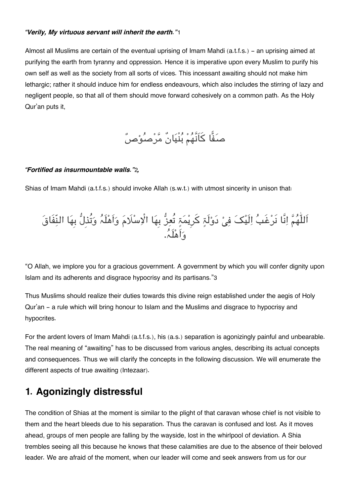#### *"Verily, My virtuous servant will inherit the earth."*[1](#page--1-0)

Almost all Muslims are certain of the eventual uprising of Imam Mahdi (a.t.f.s.) - an uprising aimed at purifying the earth from tyranny and oppression. Hence it is imperative upon every Muslim to purify his own self as well as the society from all sorts of vices. This incessant awaiting should not make him lethargic; rather it should induce him for endless endeavours, which also includes the stirring of lazy and negligent people, so that all of them should move forward cohesively on a common path. As the Holy Qur'an puts it,

صَفًّا کَاَنَّهُمْ بُنْیَانٌ مَّرْصُوْصٌ

#### *"Fortified as insurmountable walls."*[2](#page--1-0)*,*

Shias of Imam Mahdi (a.t.f.s.) should invoke Allah (s.w.t.) with utmost sincerity in unison that:



"O Allah, we implore you for a gracious government. A government by which you will confer dignity upon Islam and its adherents and disgrace hypocrisy and its partisans."[3](#page--1-0)

Thus Muslims should realize their duties towards this divine reign established under the aegis of Holy Qur'an - a rule which will bring honour to Islam and the Muslims and disgrace to hypocrisy and hypocrites.

For the ardent lovers of Imam Mahdi (a.t.f.s.), his (a.s.) separation is agonizingly painful and unbearable. The real meaning of "awaiting" has to be discussed from various angles, describing its actual concepts and consequences. Thus we will clarify the concepts in the following discussion. We will enumerate the different aspects of true awaiting (Intezaar).

## **[1. Agonizingly distressful](#page--1-0)**

The condition of Shias at the moment is similar to the plight of that caravan whose chief is not visible to them and the heart bleeds due to his separation. Thus the caravan is confused and lost. As it moves ahead, groups of men people are falling by the wayside, lost in the whirlpool of deviation. A Shia trembles seeing all this because he knows that these calamities are due to the absence of their beloved leader. We are afraid of the moment, when our leader will come and seek answers from us for our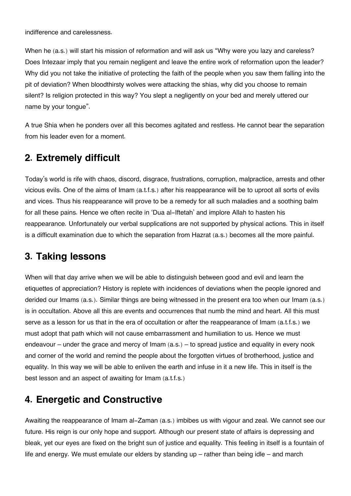indifference and carelessness.

When he (a.s.) will start his mission of reformation and will ask us "Why were you lazy and careless? Does Intezaar imply that you remain negligent and leave the entire work of reformation upon the leader? Why did you not take the initiative of protecting the faith of the people when you saw them falling into the pit of deviation? When bloodthirsty wolves were attacking the shias, why did you choose to remain silent? Is religion protected in this way? You slept a negligently on your bed and merely uttered our name by your tongue".

A true Shia when he ponders over all this becomes agitated and restless. He cannot bear the separation from his leader even for a moment.

## **[2. Extremely difficult](#page--1-0)**

Today's world is rife with chaos, discord, disgrace, frustrations, corruption, malpractice, arrests and other vicious evils. One of the aims of Imam (a.t.f.s.) after his reappearance will be to uproot all sorts of evils and vices. Thus his reappearance will prove to be a remedy for all such maladies and a soothing balm for all these pains. Hence we often recite in 'Dua al-Iftetah' and implore Allah to hasten his reappearance. Unfortunately our verbal supplications are not supported by physical actions. This in itself is a difficult examination due to which the separation from Hazrat (a.s.) becomes all the more painful.

## **[3. Taking lessons](#page--1-0)**

When will that day arrive when we will be able to distinguish between good and evil and learn the etiquettes of appreciation? History is replete with incidences of deviations when the people ignored and derided our Imams (a.s.). Similar things are being witnessed in the present era too when our Imam (a.s.) is in occultation. Above all this are events and occurrences that numb the mind and heart. All this must serve as a lesson for us that in the era of occultation or after the reappearance of Imam (a.t.f.s.) we must adopt that path which will not cause embarrassment and humiliation to us. Hence we must endeavour – under the grace and mercy of Imam (a.s.) – to spread justice and equality in every nook and corner of the world and remind the people about the forgotten virtues of brotherhood, justice and equality. In this way we will be able to enliven the earth and infuse in it a new life. This in itself is the best lesson and an aspect of awaiting for Imam (a.t.f.s.)

## **[4. Energetic and Constructive](#page--1-0)**

Awaiting the reappearance of Imam al-Zaman (a.s.) imbibes us with vigour and zeal. We cannot see our future. His reign is our only hope and support. Although our present state of affairs is depressing and bleak, yet our eyes are fixed on the bright sun of justice and equality. This feeling in itself is a fountain of life and energy. We must emulate our elders by standing up – rather than being idle – and march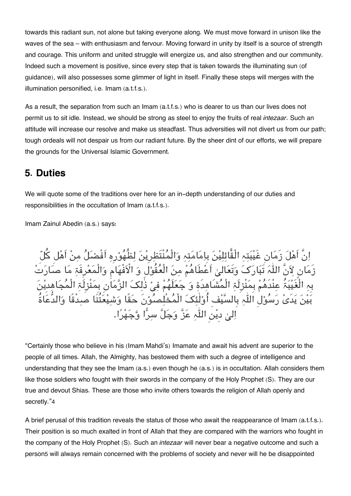towards this radiant sun, not alone but taking everyone along. We must move forward in unison like the waves of the sea – with enthusiasm and fervour. Moving forward in unity by itself is a source of strength and courage. This uniform and united struggle will energize us, and also strengthen and our community. Indeed such a movement is positive, since every step that is taken towards the illuminating sun (of guidance), will also possesses some glimmer of light in itself. Finally these steps will merges with the illumination personified, i.e. Imam (a.t.f.s.).

As a result, the separation from such an Imam (a.t.f.s.) who is dearer to us than our lives does not permit us to sit idle. Instead, we should be strong as steel to enjoy the fruits of real *intezaar*. Such an attitude will increase our resolve and make us steadfast. Thus adversities will not divert us from our path; tough ordeals will not despair us from our radiant future. By the sheer dint of our efforts, we will prepare the grounds for the Universal Islamic Government.

### **[5. Duties](#page--1-0)**

We will quote some of the traditions over here for an in-depth understanding of our duties and responsibilities in the occultation of Imam (a.t.f.s.).

Imam Zainul Abedin (a.s.) says:

انَّ اَھل زَمانِ غَیبتہ الْقائلین بِامامتہ والْمنْتَظرِین لظُھورِہ اَفْضل من اَھل کل زَمَانٍ لِآنَّ اللّٰہَ تَبَارَکَ وَتَعَالىٰ اَعْطَاهُمْ مِنَ الْعُقُوْلِ وَ الْأَفْهَامِ وَالْمَعْرِفَةِ مَا صَ بِہِ الْغَیْبَۃُ عِنْدَهُمْ بِمَنْزِلَۃِ الْمُشَاهِدَةِ وَ جَعَلَهُمْ فِیْ ذٰلِکَ الزَّمَاَٰنِ بِمَنْزِلَۃِ الْمُجَاهِد بین یدَی رسولِ الہ بِالسیفِ اُولٰئ الْمخْلصونَ حقًا وشیعتُنَا صدْقًا والدُّعاۃُ اِلیٰ دیْن اللّٰہِ عَزَّ وَجَلَّ سِرًّا وَّجَهْرًا.

"Certainly those who believe in his (Imam Mahdi's) Imamate and await his advent are superior to the people of all times. Allah, the Almighty, has bestowed them with such a degree of intelligence and understanding that they see the Imam (a.s.) even though he (a.s.) is in occultation. Allah considers them like those soldiers who fought with their swords in the company of the Holy Prophet (S). They are our true and devout Shias. These are those who invite others towards the religion of Allah openly and secretly."[4](#page--1-0)

A brief perusal of this tradition reveals the status of those who await the reappearance of Imam (a.t.f.s.). Their position is so much exalted in front of Allah that they are compared with the warriors who fought in the company of the Holy Prophet (S). Such an *intezaar* will never bear a negative outcome and such a person[5](#page--1-0) will always remain concerned with the problems of society and never will he be disappointed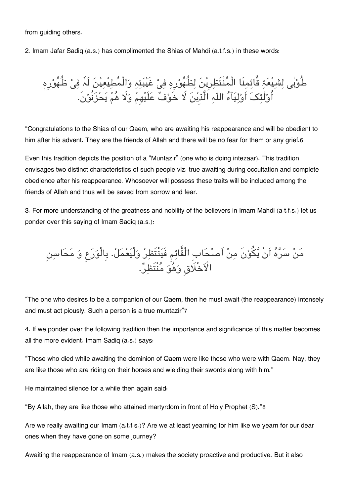from guiding others.

2. Imam Jafar Sadiq (a.s.) has complimented the Shias of Mahdi (a.t.f.s.) in these words:

طُوبی لِشَیْعَۃِ قَائِمِنَا الْمُنْتَظِرِیْنَ لِظُھُوْرِہِ فِیْ غَیْبَتِہِ وَالْمَطِیْعِیْنَ لَہٗ فِیْ ظُھُوْرِہ اُوْلِئِکَ اوْلِیَاءَ اللّٰہِ الّذِینَ لا خَوْفٌ عَلَیْهِمْ وَلَا هُمْ یَحْزَنُوْن.

"Congratulations to the Shias of our Qaem, who are awaiting his reappearance and will be obedient to him after his advent. They are the friends of Allah and there will be no fear for them or any grief.[6](#page--1-0)

Even this tradition depicts the position of a "Muntazir" (one who is doing intezaar). This tradition envisages two distinct characteristics of such people viz. true awaiting during occultation and complete obedience after his reappearance. Whosoever will possess these traits will be included among the friends of Allah and thus will be saved from sorrow and fear.

3. For more understanding of the greatness and nobility of the believers in Imam Mahdi (a.t.f.s.) let us ponder over this saying of Imam Sadiq (a.s.):

من سرہ اَنْ یونَ من اَصحابِ الْقائم فَینْتَظر ولْیعمل. بِالْورع و محاسن الأَخَلَاقِ وَهُوَ مَنْتَظِرٌ.

"The one who desires to be a companion of our Qaem, then he must await (the reappearance) intensely and must act piously. Such a person is a true muntazir"[7](#page--1-0)

4. If we ponder over the following tradition then the importance and significance of this matter becomes all the more evident. Imam Sadiq (a.s.) says:

"Those who died while awaiting the dominion of Qaem were like those who were with Qaem. Nay, they are like those who are riding on their horses and wielding their swords along with him."

He maintained silence for a while then again said:

"By Allah, they are like those who attained martyrdom in front of Holy Prophet (S)."[8](#page--1-0)

Are we really awaiting our Imam (a.t.f.s.)? Are we at least yearning for him like we yearn for our dear ones when they have gone on some journey?

Awaiting the reappearance of Imam (a.s.) makes the society proactive and productive. But it also